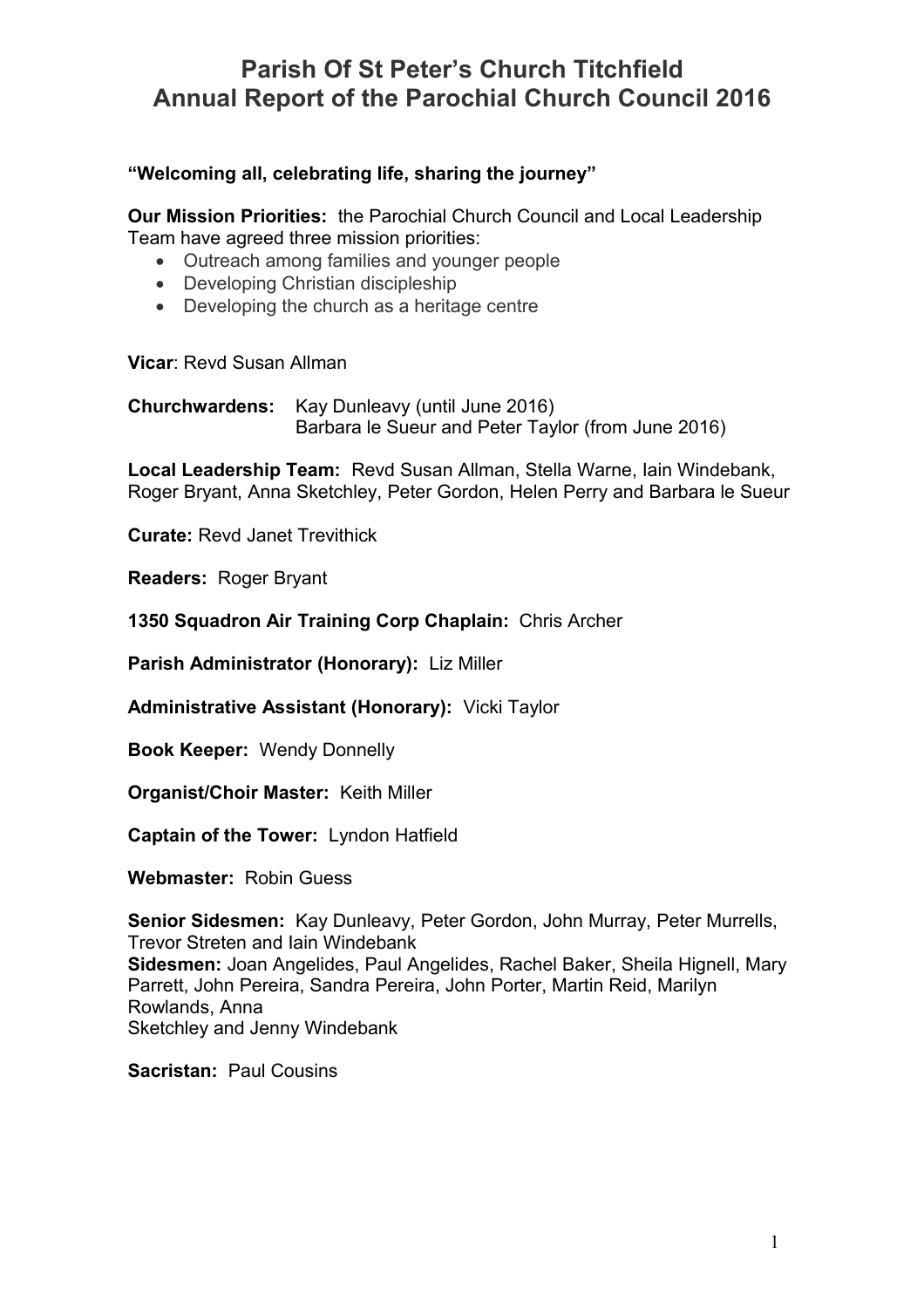### **"Welcoming all, celebrating life, sharing the journey"**

**Our Mission Priorities:** the Parochial Church Council and Local Leadership Team have agreed three mission priorities:

- Outreach among families and younger people
- Developing Christian discipleship
- Developing the church as a heritage centre

**Vicar**: Revd Susan Allman

**Churchwardens:** Kay Dunleavy (until June 2016) Barbara le Sueur and Peter Taylor (from June 2016)

**Local Leadership Team:** Revd Susan Allman, Stella Warne, Iain Windebank, Roger Bryant, Anna Sketchley, Peter Gordon, Helen Perry and Barbara le Sueur

**Curate:** Revd Janet Trevithick

**Readers:** Roger Bryant

**1350 Squadron Air Training Corp Chaplain:** Chris Archer

**Parish Administrator (Honorary):** Liz Miller

**Administrative Assistant (Honorary):** Vicki Taylor

**Book Keeper:** Wendy Donnelly

**Organist/Choir Master:** Keith Miller

**Captain of the Tower:** Lyndon Hatfield

**Webmaster:** Robin Guess

**Senior Sidesmen:** Kay Dunleavy, Peter Gordon, John Murray, Peter Murrells, Trevor Streten and Iain Windebank **Sidesmen:** Joan Angelides, Paul Angelides, Rachel Baker, Sheila Hignell, Mary Parrett, John Pereira, Sandra Pereira, John Porter, Martin Reid, Marilyn Rowlands, Anna Sketchley and Jenny Windebank

**Sacristan:** Paul Cousins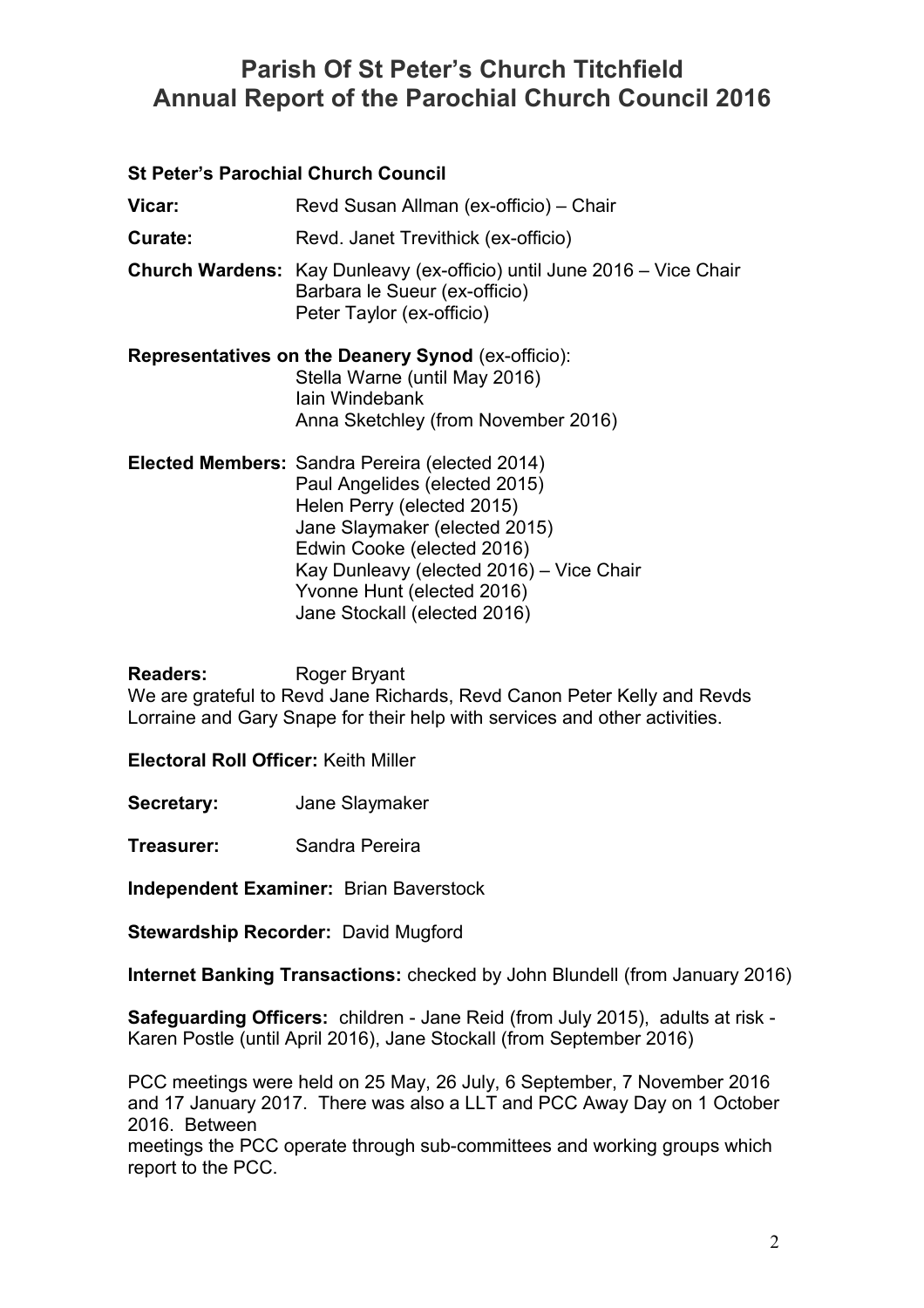| <b>St Peter's Parochial Church Council</b> |                                                                                                                                                                                                                          |
|--------------------------------------------|--------------------------------------------------------------------------------------------------------------------------------------------------------------------------------------------------------------------------|
| Vicar:                                     | Revd Susan Allman (ex-officio) - Chair                                                                                                                                                                                   |
| Curate:                                    | Revd. Janet Trevithick (ex-officio)                                                                                                                                                                                      |
|                                            | <b>Church Wardens:</b> Kay Dunleavy (ex-officio) until June 2016 – Vice Chair<br>Barbara le Sueur (ex-officio)<br>Peter Taylor (ex-officio)                                                                              |
|                                            | <b>Representatives on the Deanery Synod (ex-officio):</b><br>Stella Warne (until May 2016)<br>lain Windebank<br>Anna Sketchley (from November 2016)                                                                      |
|                                            | Elected Members: Sandra Pereira (elected 2014)<br>Paul Angelides (elected 2015)<br>Helen Perry (elected 2015)<br>Jane Slaymaker (elected 2015)<br>Edwin Cooke (elected 2016)<br>Kay Dunleavy (elected 2016) – Vice Chair |

Yvonne Hunt (elected 2016) Jane Stockall (elected 2016)

**Readers:** Roger Bryant

We are grateful to Revd Jane Richards, Revd Canon Peter Kelly and Revds Lorraine and Gary Snape for their help with services and other activities.

**Electoral Roll Officer:** Keith Miller

**Secretary:** Jane Slaymaker

**Treasurer:** Sandra Pereira

**Independent Examiner:** Brian Baverstock

**Stewardship Recorder:** David Mugford

**Internet Banking Transactions:** checked by John Blundell (from January 2016)

**Safeguarding Officers:** children - Jane Reid (from July 2015), adults at risk - Karen Postle (until April 2016), Jane Stockall (from September 2016)

PCC meetings were held on 25 May, 26 July, 6 September, 7 November 2016 and 17 January 2017. There was also a LLT and PCC Away Day on 1 October 2016. Between

meetings the PCC operate through sub-committees and working groups which report to the PCC.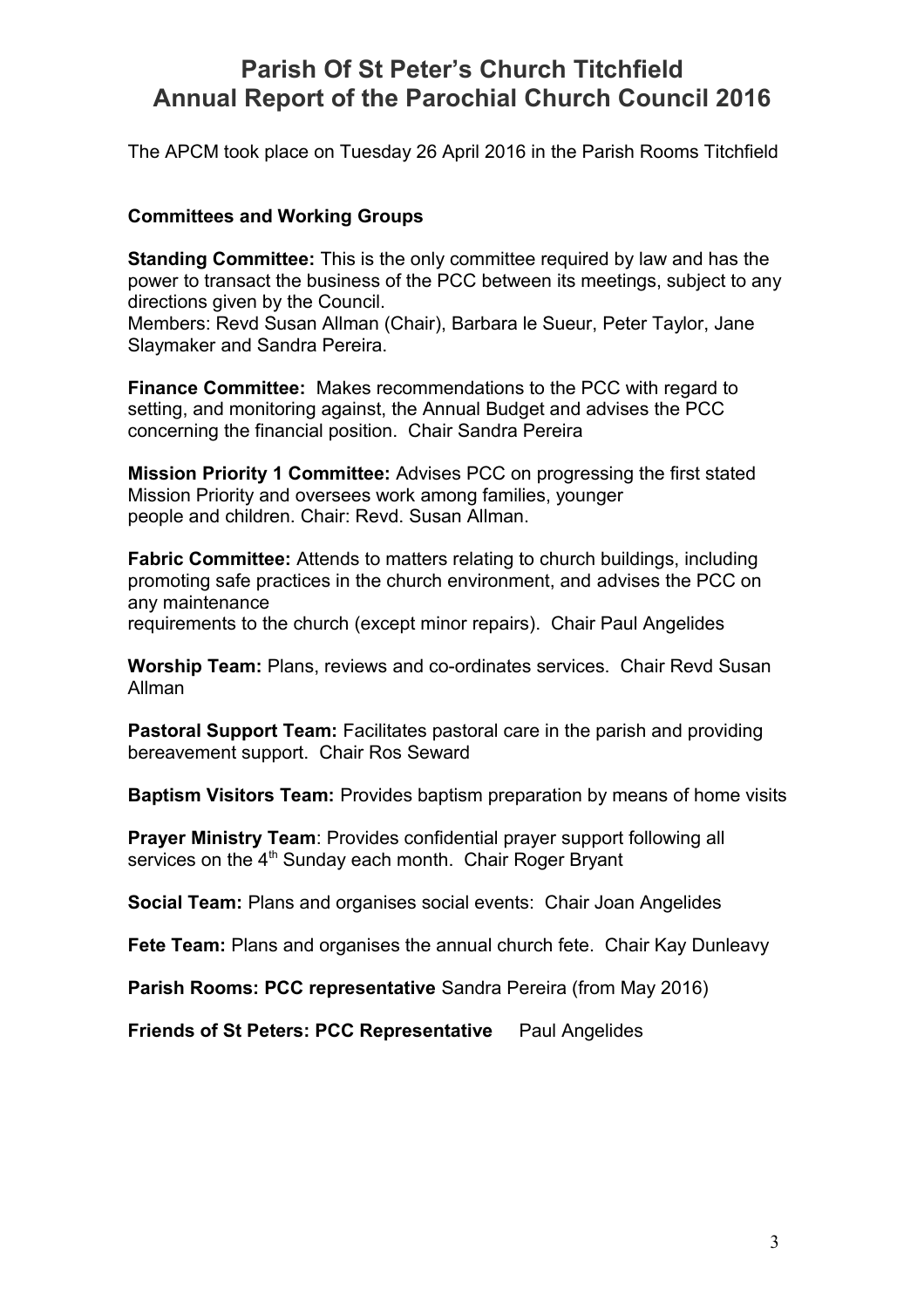The APCM took place on Tuesday 26 April 2016 in the Parish Rooms Titchfield

### **Committees and Working Groups**

**Standing Committee:** This is the only committee required by law and has the power to transact the business of the PCC between its meetings, subject to any directions given by the Council.

Members: Revd Susan Allman (Chair), Barbara le Sueur, Peter Taylor, Jane Slaymaker and Sandra Pereira.

**Finance Committee:** Makes recommendations to the PCC with regard to setting, and monitoring against, the Annual Budget and advises the PCC concerning the financial position. Chair Sandra Pereira

**Mission Priority 1 Committee:** Advises PCC on progressing the first stated Mission Priority and oversees work among families, younger people and children. Chair: Revd. Susan Allman.

**Fabric Committee:** Attends to matters relating to church buildings, including promoting safe practices in the church environment, and advises the PCC on any maintenance requirements to the church (except minor repairs). Chair Paul Angelides

**Worship Team:** Plans, reviews and co-ordinates services. Chair Revd Susan Allman

**Pastoral Support Team:** Facilitates pastoral care in the parish and providing bereavement support. Chair Ros Seward

**Baptism Visitors Team:** Provides baptism preparation by means of home visits

**Prayer Ministry Team: Provides confidential prayer support following all** services on the  $4<sup>th</sup>$  Sunday each month. Chair Roger Bryant

**Social Team:** Plans and organises social events: Chair Joan Angelides

**Fete Team:** Plans and organises the annual church fete. Chair Kay Dunleavy

**Parish Rooms: PCC representative** Sandra Pereira (from May 2016)

**Friends of St Peters: PCC Representative** Paul Angelides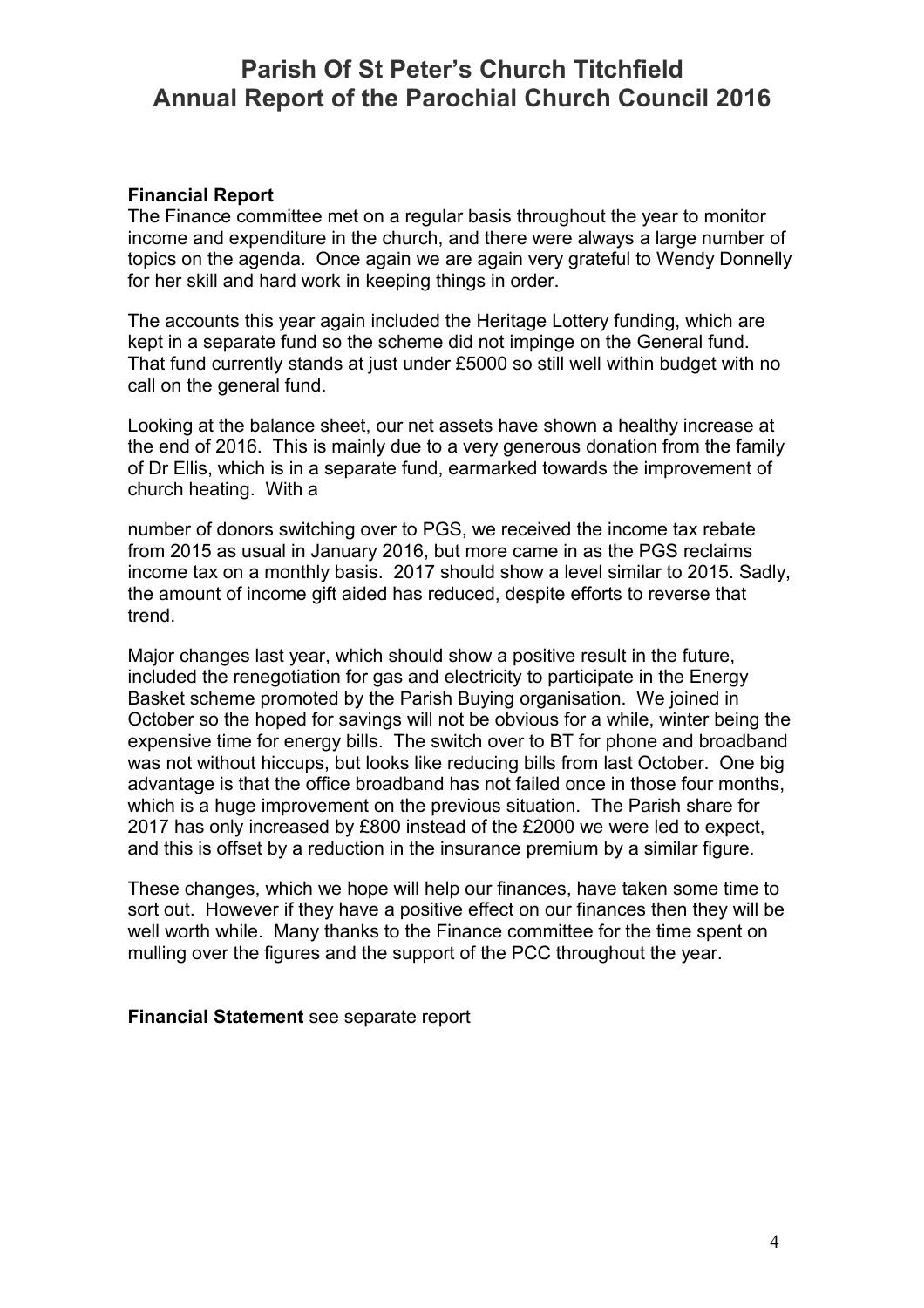#### **Financial Report**

The Finance committee met on a regular basis throughout the year to monitor income and expenditure in the church, and there were always a large number of topics on the agenda. Once again we are again very grateful to Wendy Donnelly for her skill and hard work in keeping things in order.

The accounts this year again included the Heritage Lottery funding, which are kept in a separate fund so the scheme did not impinge on the General fund. That fund currently stands at just under £5000 so still well within budget with no call on the general fund.

Looking at the balance sheet, our net assets have shown a healthy increase at the end of 2016. This is mainly due to a very generous donation from the family of Dr Ellis, which is in a separate fund, earmarked towards the improvement of church heating. With a

number of donors switching over to PGS, we received the income tax rebate from 2015 as usual in January 2016, but more came in as the PGS reclaims income tax on a monthly basis. 2017 should show a level similar to 2015. Sadly, the amount of income gift aided has reduced, despite efforts to reverse that trend.

Major changes last year, which should show a positive result in the future, included the renegotiation for gas and electricity to participate in the Energy Basket scheme promoted by the Parish Buying organisation. We joined in October so the hoped for savings will not be obvious for a while, winter being the expensive time for energy bills. The switch over to BT for phone and broadband was not without hiccups, but looks like reducing bills from last October. One big advantage is that the office broadband has not failed once in those four months, which is a huge improvement on the previous situation. The Parish share for 2017 has only increased by £800 instead of the £2000 we were led to expect, and this is offset by a reduction in the insurance premium by a similar figure.

These changes, which we hope will help our finances, have taken some time to sort out. However if they have a positive effect on our finances then they will be well worth while. Many thanks to the Finance committee for the time spent on mulling over the figures and the support of the PCC throughout the year.

**Financial Statement** see separate report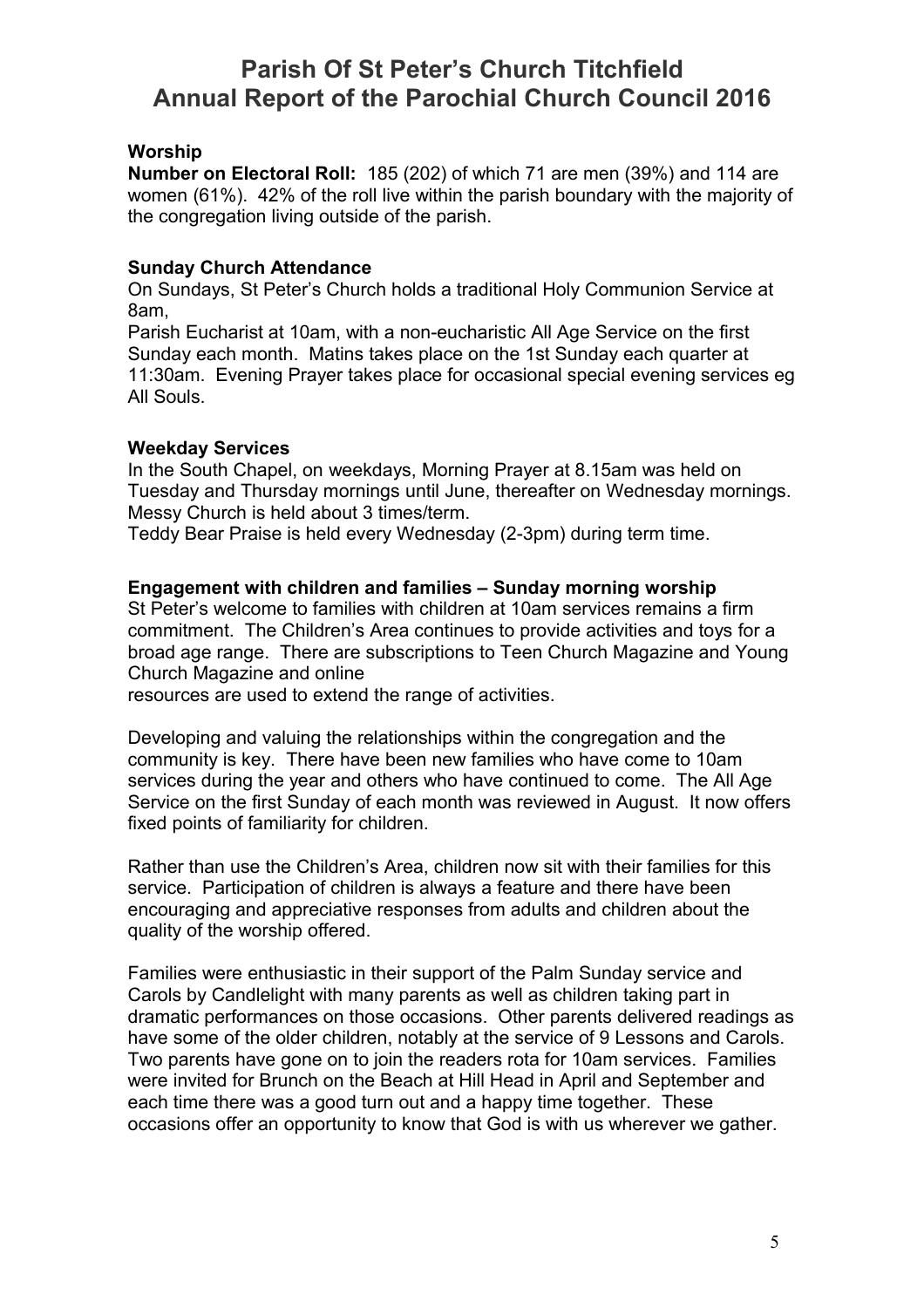### **Worship**

**Number on Electoral Roll:** 185 (202) of which 71 are men (39%) and 114 are women (61%). 42% of the roll live within the parish boundary with the majority of the congregation living outside of the parish.

### **Sunday Church Attendance**

On Sundays, St Peter's Church holds a traditional Holy Communion Service at 8am,

Parish Eucharist at 10am, with a non-eucharistic All Age Service on the first Sunday each month. Matins takes place on the 1st Sunday each quarter at 11:30am. Evening Prayer takes place for occasional special evening services eg All Souls.

### **Weekday Services**

In the South Chapel, on weekdays, Morning Prayer at 8.15am was held on Tuesday and Thursday mornings until June, thereafter on Wednesday mornings. Messy Church is held about 3 times/term.

Teddy Bear Praise is held every Wednesday (2-3pm) during term time.

### **Engagement with children and families – Sunday morning worship**

St Peter's welcome to families with children at 10am services remains a firm commitment. The Children's Area continues to provide activities and toys for a broad age range. There are subscriptions to Teen Church Magazine and Young Church Magazine and online

resources are used to extend the range of activities.

Developing and valuing the relationships within the congregation and the community is key. There have been new families who have come to 10am services during the year and others who have continued to come. The All Age Service on the first Sunday of each month was reviewed in August. It now offers fixed points of familiarity for children.

Rather than use the Children's Area, children now sit with their families for this service. Participation of children is always a feature and there have been encouraging and appreciative responses from adults and children about the quality of the worship offered.

Families were enthusiastic in their support of the Palm Sunday service and Carols by Candlelight with many parents as well as children taking part in dramatic performances on those occasions. Other parents delivered readings as have some of the older children, notably at the service of 9 Lessons and Carols. Two parents have gone on to join the readers rota for 10am services. Families were invited for Brunch on the Beach at Hill Head in April and September and each time there was a good turn out and a happy time together. These occasions offer an opportunity to know that God is with us wherever we gather.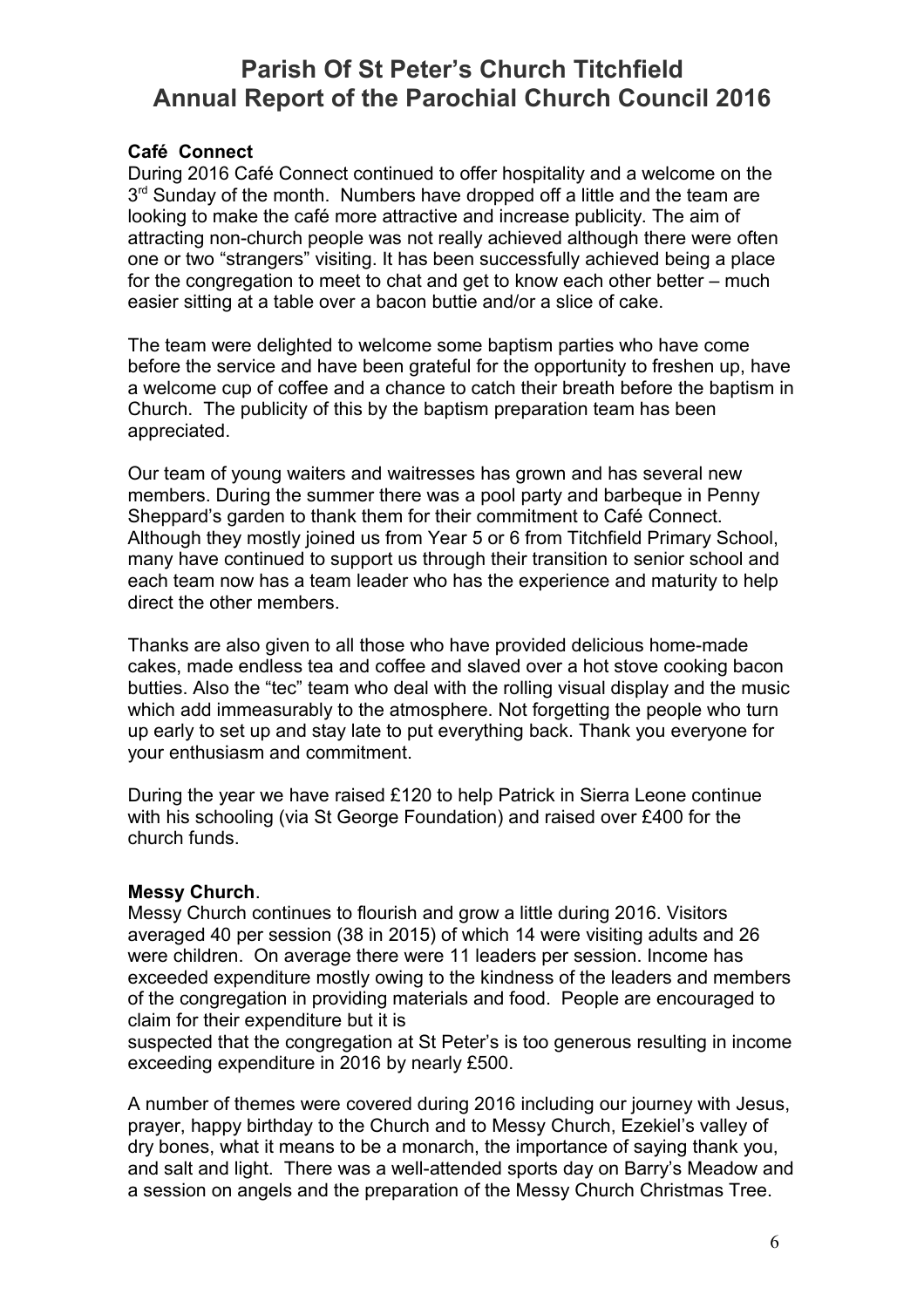### **Café Connect**

During 2016 Café Connect continued to offer hospitality and a welcome on the 3<sup>rd</sup> Sunday of the month. Numbers have dropped off a little and the team are looking to make the café more attractive and increase publicity. The aim of attracting non-church people was not really achieved although there were often one or two "strangers" visiting. It has been successfully achieved being a place for the congregation to meet to chat and get to know each other better – much easier sitting at a table over a bacon buttie and/or a slice of cake.

The team were delighted to welcome some baptism parties who have come before the service and have been grateful for the opportunity to freshen up, have a welcome cup of coffee and a chance to catch their breath before the baptism in Church. The publicity of this by the baptism preparation team has been appreciated.

Our team of young waiters and waitresses has grown and has several new members. During the summer there was a pool party and barbeque in Penny Sheppard's garden to thank them for their commitment to Café Connect. Although they mostly joined us from Year 5 or 6 from Titchfield Primary School, many have continued to support us through their transition to senior school and each team now has a team leader who has the experience and maturity to help direct the other members.

Thanks are also given to all those who have provided delicious home-made cakes, made endless tea and coffee and slaved over a hot stove cooking bacon butties. Also the "tec" team who deal with the rolling visual display and the music which add immeasurably to the atmosphere. Not forgetting the people who turn up early to set up and stay late to put everything back. Thank you everyone for your enthusiasm and commitment.

During the year we have raised £120 to help Patrick in Sierra Leone continue with his schooling (via St George Foundation) and raised over £400 for the church funds.

#### **Messy Church**.

Messy Church continues to flourish and grow a little during 2016. Visitors averaged 40 per session (38 in 2015) of which 14 were visiting adults and 26 were children. On average there were 11 leaders per session. Income has exceeded expenditure mostly owing to the kindness of the leaders and members of the congregation in providing materials and food. People are encouraged to claim for their expenditure but it is

suspected that the congregation at St Peter's is too generous resulting in income exceeding expenditure in 2016 by nearly £500.

A number of themes were covered during 2016 including our journey with Jesus, prayer, happy birthday to the Church and to Messy Church, Ezekiel's valley of dry bones, what it means to be a monarch, the importance of saying thank you, and salt and light. There was a well-attended sports day on Barry's Meadow and a session on angels and the preparation of the Messy Church Christmas Tree.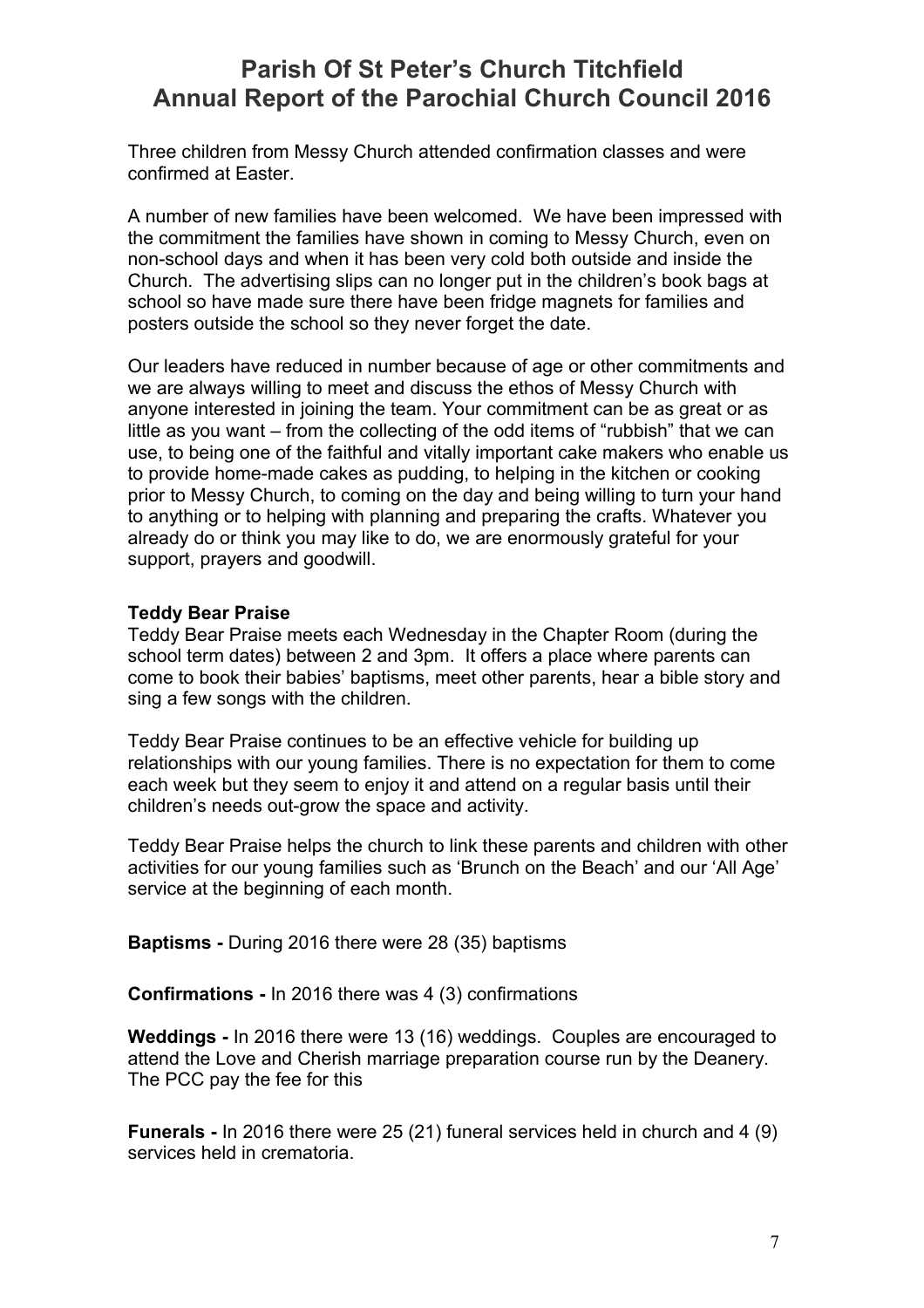Three children from Messy Church attended confirmation classes and were confirmed at Easter.

A number of new families have been welcomed. We have been impressed with the commitment the families have shown in coming to Messy Church, even on non-school days and when it has been very cold both outside and inside the Church. The advertising slips can no longer put in the children's book bags at school so have made sure there have been fridge magnets for families and posters outside the school so they never forget the date.

Our leaders have reduced in number because of age or other commitments and we are always willing to meet and discuss the ethos of Messy Church with anyone interested in joining the team. Your commitment can be as great or as little as you want – from the collecting of the odd items of "rubbish" that we can use, to being one of the faithful and vitally important cake makers who enable us to provide home-made cakes as pudding, to helping in the kitchen or cooking prior to Messy Church, to coming on the day and being willing to turn your hand to anything or to helping with planning and preparing the crafts. Whatever you already do or think you may like to do, we are enormously grateful for your support, prayers and goodwill.

### **Teddy Bear Praise**

Teddy Bear Praise meets each Wednesday in the Chapter Room (during the school term dates) between 2 and 3pm. It offers a place where parents can come to book their babies' baptisms, meet other parents, hear a bible story and sing a few songs with the children.

Teddy Bear Praise continues to be an effective vehicle for building up relationships with our young families. There is no expectation for them to come each week but they seem to enjoy it and attend on a regular basis until their children's needs out-grow the space and activity.

Teddy Bear Praise helps the church to link these parents and children with other activities for our young families such as 'Brunch on the Beach' and our 'All Age' service at the beginning of each month.

**Baptisms -** During 2016 there were 28 (35) baptisms

**Confirmations -** In 2016 there was 4 (3) confirmations

**Weddings -** In 2016 there were 13 (16) weddings. Couples are encouraged to attend the Love and Cherish marriage preparation course run by the Deanery. The PCC pay the fee for this

**Funerals -** In 2016 there were 25 (21) funeral services held in church and 4 (9) services held in crematoria.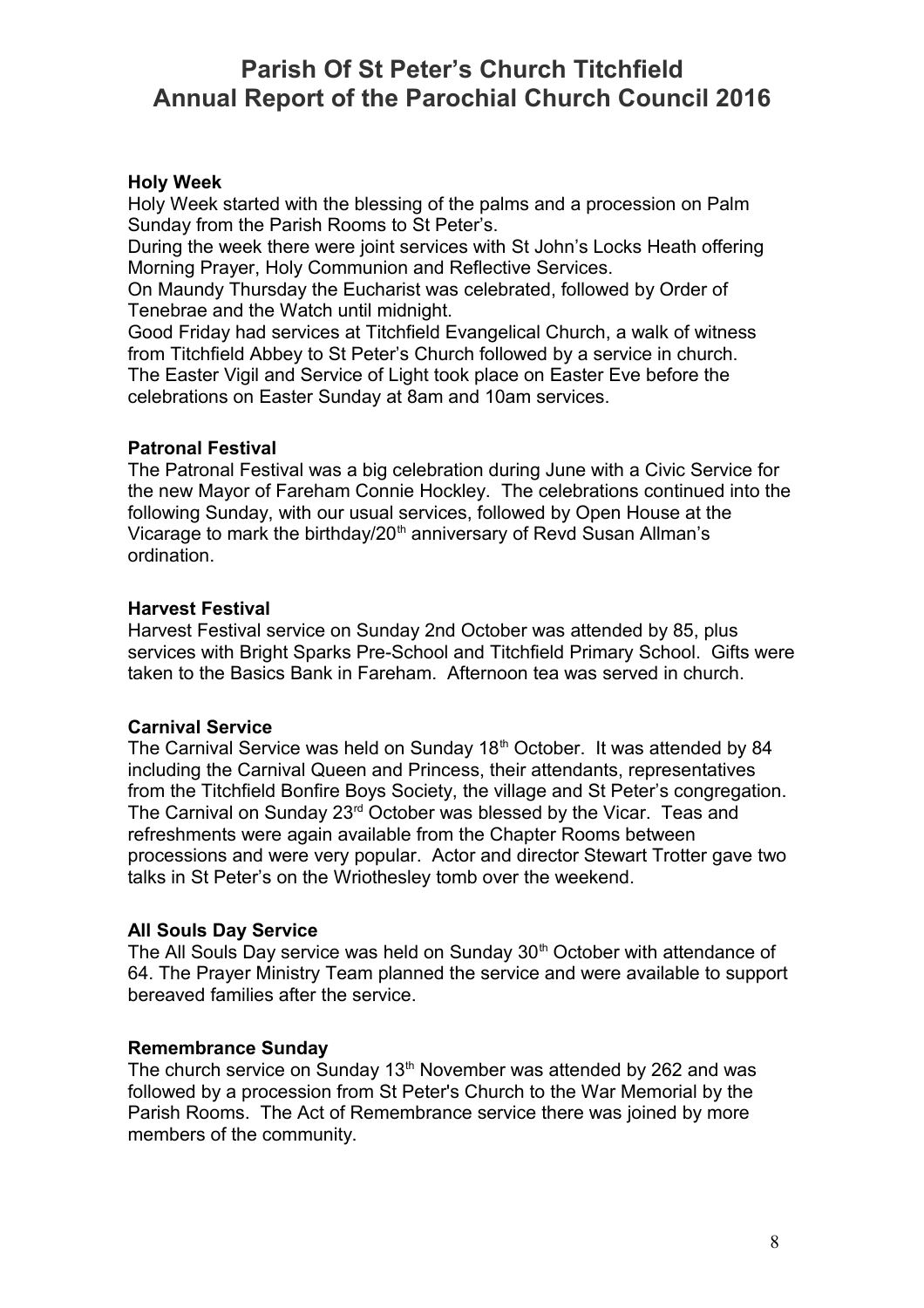### **Holy Week**

Holy Week started with the blessing of the palms and a procession on Palm Sunday from the Parish Rooms to St Peter's.

During the week there were joint services with St John's Locks Heath offering Morning Prayer, Holy Communion and Reflective Services.

On Maundy Thursday the Eucharist was celebrated, followed by Order of Tenebrae and the Watch until midnight.

Good Friday had services at Titchfield Evangelical Church, a walk of witness from Titchfield Abbey to St Peter's Church followed by a service in church. The Easter Vigil and Service of Light took place on Easter Eve before the celebrations on Easter Sunday at 8am and 10am services.

### **Patronal Festival**

The Patronal Festival was a big celebration during June with a Civic Service for the new Mayor of Fareham Connie Hockley. The celebrations continued into the following Sunday, with our usual services, followed by Open House at the Vicarage to mark the birthday/20<sup>th</sup> anniversary of Revd Susan Allman's ordination.

### **Harvest Festival**

Harvest Festival service on Sunday 2nd October was attended by 85, plus services with Bright Sparks Pre-School and Titchfield Primary School. Gifts were taken to the Basics Bank in Fareham. Afternoon tea was served in church.

### **Carnival Service**

The Carnival Service was held on Sunday 18<sup>th</sup> October. It was attended by 84 including the Carnival Queen and Princess, their attendants, representatives from the Titchfield Bonfire Boys Society, the village and St Peter's congregation. The Carnival on Sunday 23rd October was blessed by the Vicar. Teas and refreshments were again available from the Chapter Rooms between processions and were very popular. Actor and director Stewart Trotter gave two talks in St Peter's on the Wriothesley tomb over the weekend.

### **All Souls Day Service**

The All Souls Day service was held on Sunday 30<sup>th</sup> October with attendance of 64. The Prayer Ministry Team planned the service and were available to support bereaved families after the service.

### **Remembrance Sunday**

The church service on Sunday  $13<sup>th</sup>$  November was attended by 262 and was followed by a procession from St Peter's Church to the War Memorial by the Parish Rooms. The Act of Remembrance service there was joined by more members of the community.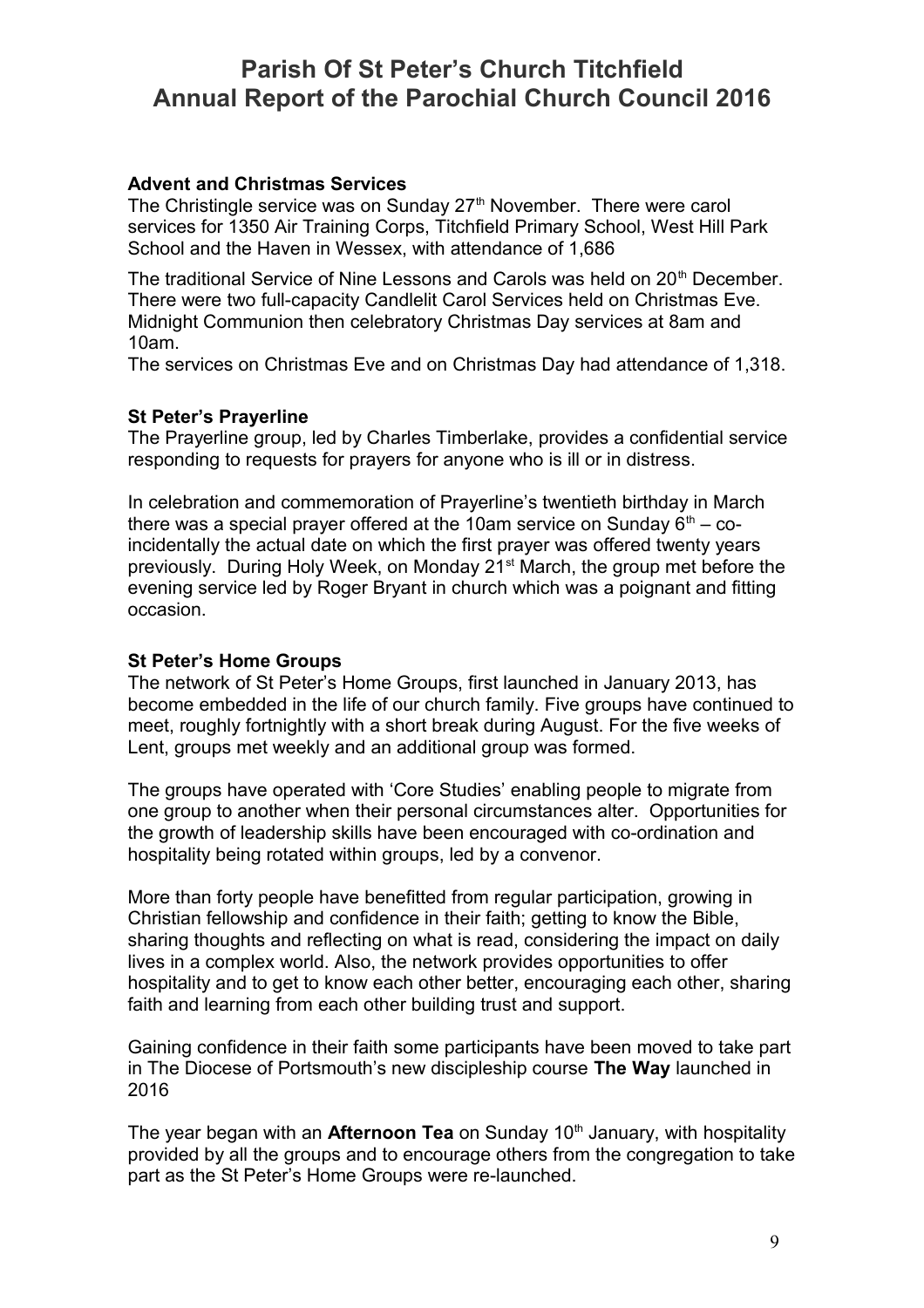### **Advent and Christmas Services**

The Christingle service was on Sunday  $27<sup>th</sup>$  November. There were carol services for 1350 Air Training Corps, Titchfield Primary School, West Hill Park School and the Haven in Wessex, with attendance of 1,686

The traditional Service of Nine Lessons and Carols was held on 20<sup>th</sup> December. There were two full-capacity Candlelit Carol Services held on Christmas Eve. Midnight Communion then celebratory Christmas Day services at 8am and 10am.

The services on Christmas Eve and on Christmas Day had attendance of 1,318.

### **St Peter's Prayerline**

The Prayerline group, led by Charles Timberlake, provides a confidential service responding to requests for prayers for anyone who is ill or in distress.

In celebration and commemoration of Prayerline's twentieth birthday in March there was a special prayer offered at the 10am service on Sunday  $6<sup>th</sup> - co$ incidentally the actual date on which the first prayer was offered twenty years previously. During Holy Week, on Monday 21<sup>st</sup> March, the group met before the evening service led by Roger Bryant in church which was a poignant and fitting occasion.

### **St Peter's Home Groups**

The network of St Peter's Home Groups, first launched in January 2013, has become embedded in the life of our church family. Five groups have continued to meet, roughly fortnightly with a short break during August. For the five weeks of Lent, groups met weekly and an additional group was formed.

The groups have operated with 'Core Studies' enabling people to migrate from one group to another when their personal circumstances alter. Opportunities for the growth of leadership skills have been encouraged with co-ordination and hospitality being rotated within groups, led by a convenor.

More than forty people have benefitted from regular participation, growing in Christian fellowship and confidence in their faith; getting to know the Bible, sharing thoughts and reflecting on what is read, considering the impact on daily lives in a complex world. Also, the network provides opportunities to offer hospitality and to get to know each other better, encouraging each other, sharing faith and learning from each other building trust and support.

Gaining confidence in their faith some participants have been moved to take part in The Diocese of Portsmouth's new discipleship course **The Way** launched in 2016

The year began with an **Afternoon Tea** on Sunday 10<sup>th</sup> January, with hospitality provided by all the groups and to encourage others from the congregation to take part as the St Peter's Home Groups were re-launched.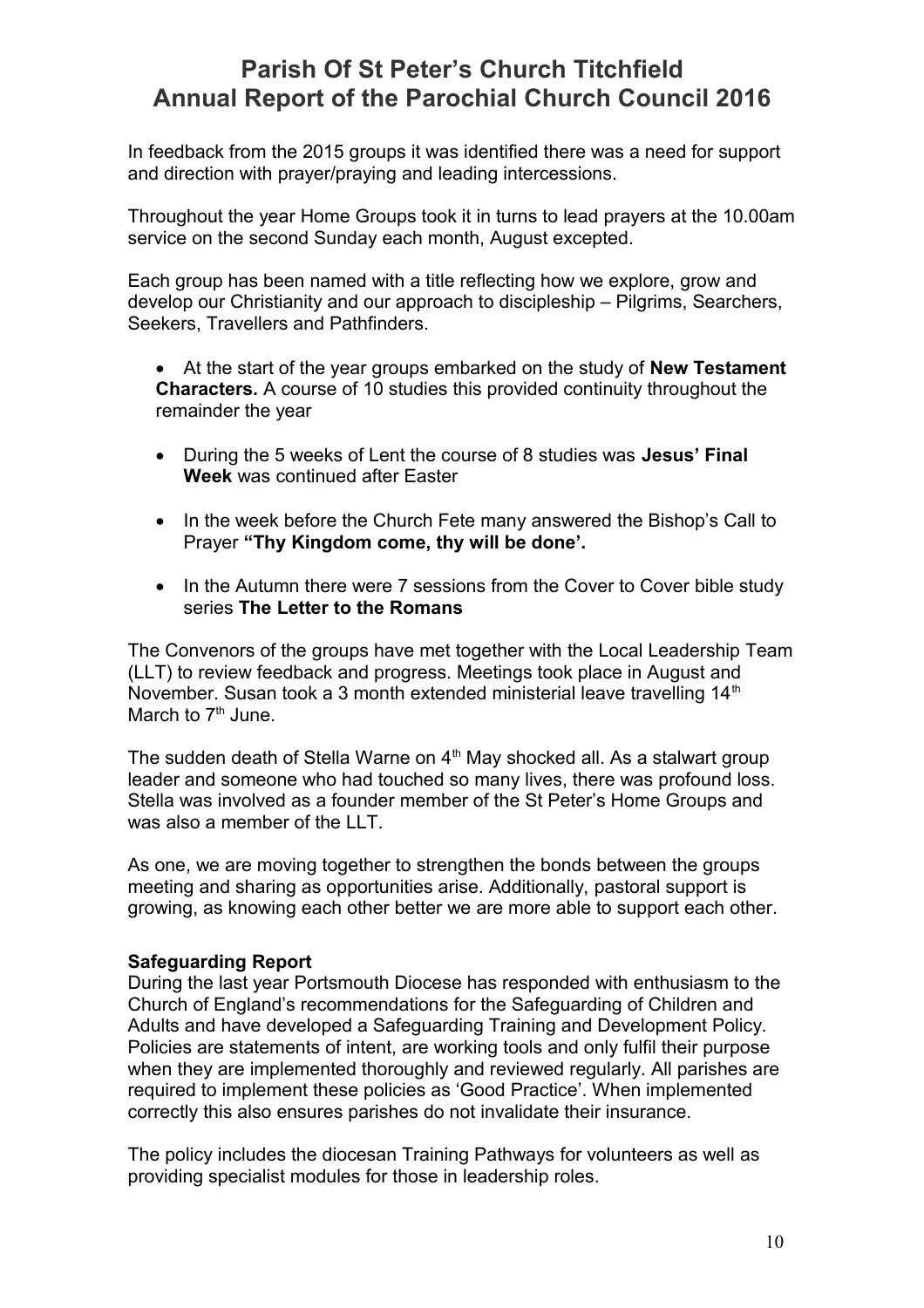In feedback from the 2015 groups it was identified there was a need for support and direction with prayer/praying and leading intercessions.

Throughout the year Home Groups took it in turns to lead prayers at the 10.00am service on the second Sunday each month, August excepted.

Each group has been named with a title reflecting how we explore, grow and develop our Christianity and our approach to discipleship – Pilgrims, Searchers, Seekers, Travellers and Pathfinders.

 At the start of the year groups embarked on the study of **New Testament Characters.** A course of 10 studies this provided continuity throughout the remainder the year

- During the 5 weeks of Lent the course of 8 studies was **Jesus' Final Week** was continued after Easter
- In the week before the Church Fete many answered the Bishop's Call to Prayer **"Thy Kingdom come, thy will be done'.**
- In the Autumn there were 7 sessions from the Cover to Cover bible study series **The Letter to the Romans**

The Convenors of the groups have met together with the Local Leadership Team (LLT) to review feedback and progress. Meetings took place in August and November. Susan took a 3 month extended ministerial leave travelling 14<sup>th</sup> March to  $7<sup>th</sup>$  June.

The sudden death of Stella Warne on  $4<sup>th</sup>$  May shocked all. As a stalwart group leader and someone who had touched so many lives, there was profound loss. Stella was involved as a founder member of the St Peter's Home Groups and was also a member of the LLT.

As one, we are moving together to strengthen the bonds between the groups meeting and sharing as opportunities arise. Additionally, pastoral support is growing, as knowing each other better we are more able to support each other.

### **Safeguarding Report**

During the last year Portsmouth Diocese has responded with enthusiasm to the Church of England's recommendations for the Safeguarding of Children and Adults and have developed a Safeguarding Training and Development Policy. Policies are statements of intent, are working tools and only fulfil their purpose when they are implemented thoroughly and reviewed regularly. All parishes are required to implement these policies as 'Good Practice'. When implemented correctly this also ensures parishes do not invalidate their insurance.

The policy includes the diocesan Training Pathways for volunteers as well as providing specialist modules for those in leadership roles.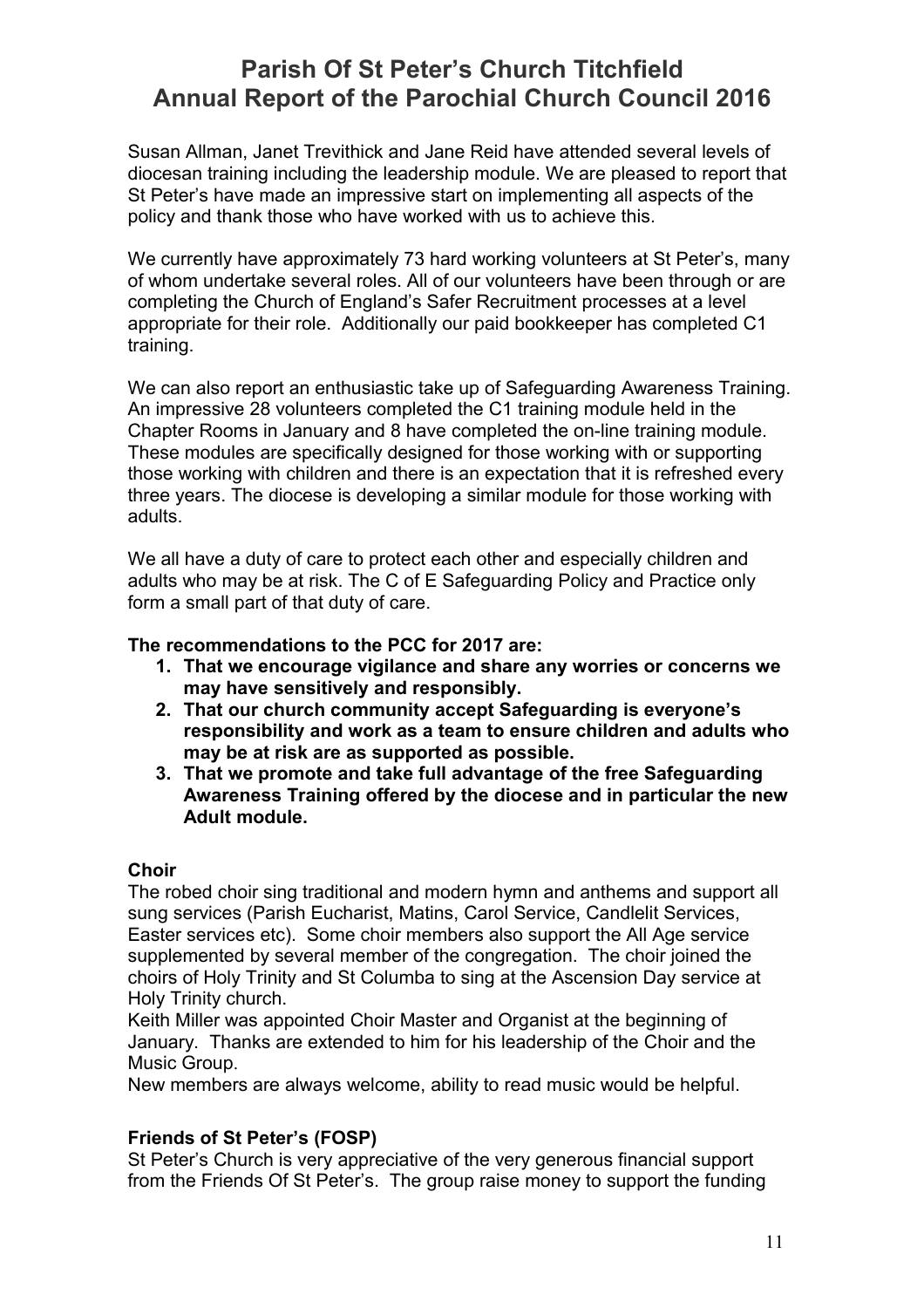Susan Allman, Janet Trevithick and Jane Reid have attended several levels of diocesan training including the leadership module. We are pleased to report that St Peter's have made an impressive start on implementing all aspects of the policy and thank those who have worked with us to achieve this.

We currently have approximately 73 hard working volunteers at St Peter's, many of whom undertake several roles. All of our volunteers have been through or are completing the Church of England's Safer Recruitment processes at a level appropriate for their role. Additionally our paid bookkeeper has completed C1 training.

We can also report an enthusiastic take up of Safeguarding Awareness Training. An impressive 28 volunteers completed the C1 training module held in the Chapter Rooms in January and 8 have completed the on-line training module. These modules are specifically designed for those working with or supporting those working with children and there is an expectation that it is refreshed every three years. The diocese is developing a similar module for those working with adults.

We all have a duty of care to protect each other and especially children and adults who may be at risk. The C of E Safeguarding Policy and Practice only form a small part of that duty of care.

### **The recommendations to the PCC for 2017 are:**

- **1. That we encourage vigilance and share any worries or concerns we may have sensitively and responsibly.**
- **2. That our church community accept Safeguarding is everyone's responsibility and work as a team to ensure children and adults who may be at risk are as supported as possible.**
- **3. That we promote and take full advantage of the free Safeguarding Awareness Training offered by the diocese and in particular the new Adult module.**

### **Choir**

The robed choir sing traditional and modern hymn and anthems and support all sung services (Parish Eucharist, Matins, Carol Service, Candlelit Services, Easter services etc). Some choir members also support the All Age service supplemented by several member of the congregation. The choir joined the choirs of Holy Trinity and St Columba to sing at the Ascension Day service at Holy Trinity church.

Keith Miller was appointed Choir Master and Organist at the beginning of January. Thanks are extended to him for his leadership of the Choir and the Music Group.

New members are always welcome, ability to read music would be helpful.

### **Friends of St Peter's (FOSP)**

St Peter's Church is very appreciative of the very generous financial support from the Friends Of St Peter's. The group raise money to support the funding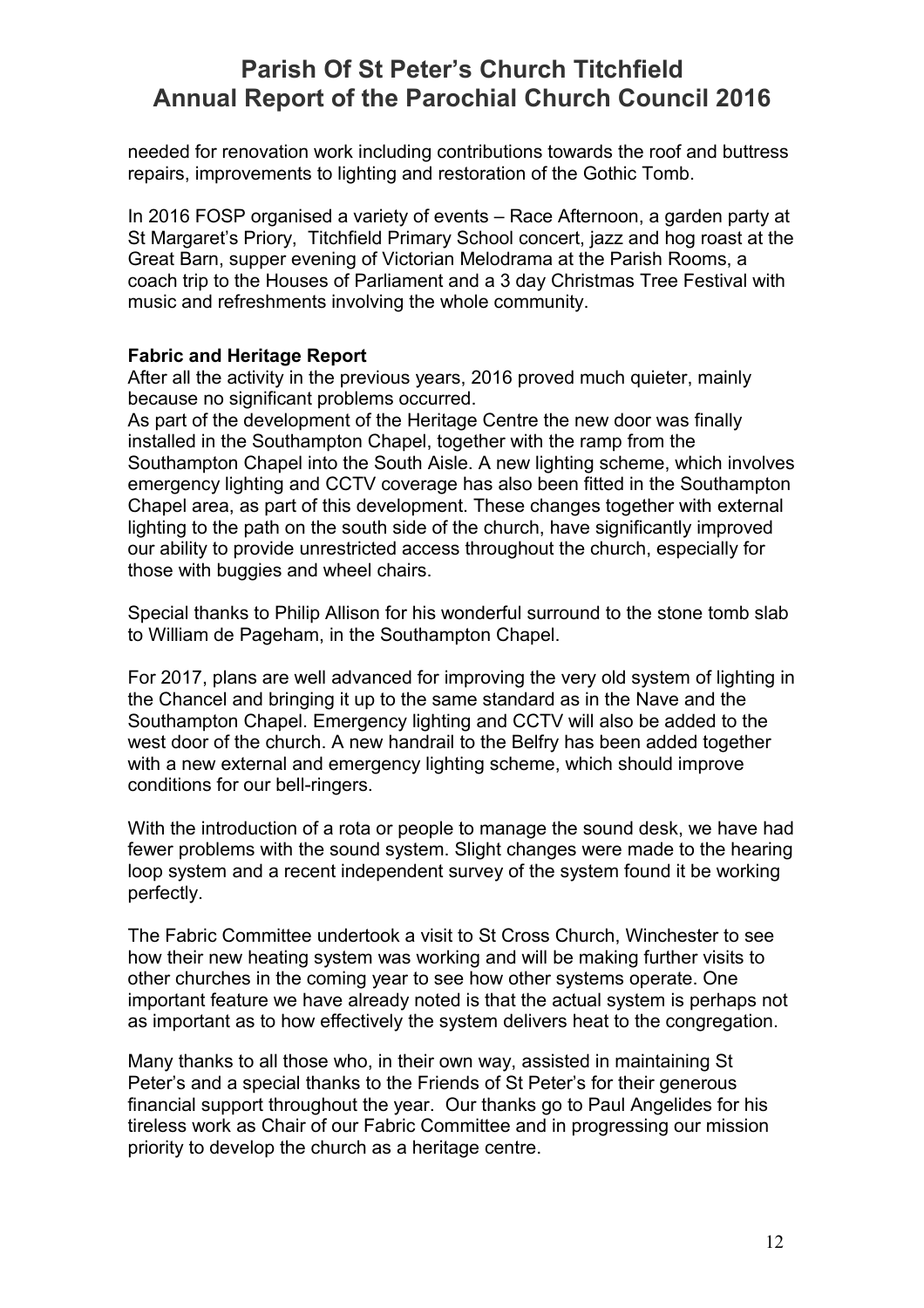needed for renovation work including contributions towards the roof and buttress repairs, improvements to lighting and restoration of the Gothic Tomb.

In 2016 FOSP organised a variety of events – Race Afternoon, a garden party at St Margaret's Priory, Titchfield Primary School concert, jazz and hog roast at the Great Barn, supper evening of Victorian Melodrama at the Parish Rooms, a coach trip to the Houses of Parliament and a 3 day Christmas Tree Festival with music and refreshments involving the whole community.

### **Fabric and Heritage Report**

After all the activity in the previous years, 2016 proved much quieter, mainly because no significant problems occurred.

As part of the development of the Heritage Centre the new door was finally installed in the Southampton Chapel, together with the ramp from the Southampton Chapel into the South Aisle. A new lighting scheme, which involves emergency lighting and CCTV coverage has also been fitted in the Southampton Chapel area, as part of this development. These changes together with external lighting to the path on the south side of the church, have significantly improved our ability to provide unrestricted access throughout the church, especially for those with buggies and wheel chairs.

Special thanks to Philip Allison for his wonderful surround to the stone tomb slab to William de Pageham, in the Southampton Chapel.

For 2017, plans are well advanced for improving the very old system of lighting in the Chancel and bringing it up to the same standard as in the Nave and the Southampton Chapel. Emergency lighting and CCTV will also be added to the west door of the church. A new handrail to the Belfry has been added together with a new external and emergency lighting scheme, which should improve conditions for our bell-ringers.

With the introduction of a rota or people to manage the sound desk, we have had fewer problems with the sound system. Slight changes were made to the hearing loop system and a recent independent survey of the system found it be working perfectly.

The Fabric Committee undertook a visit to St Cross Church, Winchester to see how their new heating system was working and will be making further visits to other churches in the coming year to see how other systems operate. One important feature we have already noted is that the actual system is perhaps not as important as to how effectively the system delivers heat to the congregation.

Many thanks to all those who, in their own way, assisted in maintaining St Peter's and a special thanks to the Friends of St Peter's for their generous financial support throughout the year. Our thanks go to Paul Angelides for his tireless work as Chair of our Fabric Committee and in progressing our mission priority to develop the church as a heritage centre.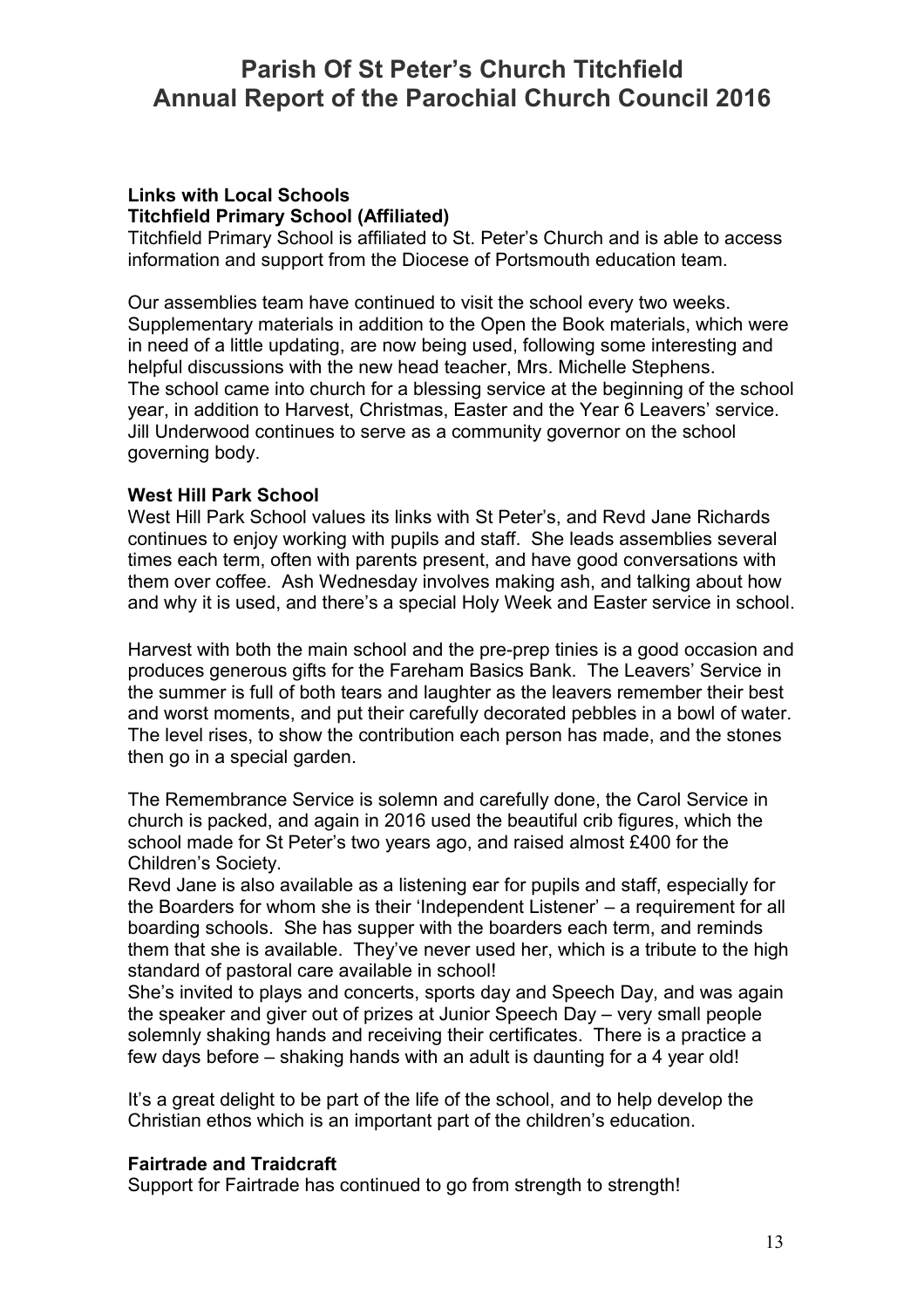#### **Links with Local Schools Titchfield Primary School (Affiliated)**

Titchfield Primary School is affiliated to St. Peter's Church and is able to access information and support from the Diocese of Portsmouth education team.

Our assemblies team have continued to visit the school every two weeks. Supplementary materials in addition to the Open the Book materials, which were in need of a little updating, are now being used, following some interesting and helpful discussions with the new head teacher, Mrs. Michelle Stephens. The school came into church for a blessing service at the beginning of the school year, in addition to Harvest, Christmas, Easter and the Year 6 Leavers' service. Jill Underwood continues to serve as a community governor on the school governing body.

### **West Hill Park School**

West Hill Park School values its links with St Peter's, and Revd Jane Richards continues to enjoy working with pupils and staff. She leads assemblies several times each term, often with parents present, and have good conversations with them over coffee. Ash Wednesday involves making ash, and talking about how and why it is used, and there's a special Holy Week and Easter service in school.

Harvest with both the main school and the pre-prep tinies is a good occasion and produces generous gifts for the Fareham Basics Bank. The Leavers' Service in the summer is full of both tears and laughter as the leavers remember their best and worst moments, and put their carefully decorated pebbles in a bowl of water. The level rises, to show the contribution each person has made, and the stones then go in a special garden.

The Remembrance Service is solemn and carefully done, the Carol Service in church is packed, and again in 2016 used the beautiful crib figures, which the school made for St Peter's two years ago, and raised almost £400 for the Children's Society.

Revd Jane is also available as a listening ear for pupils and staff, especially for the Boarders for whom she is their 'Independent Listener' – a requirement for all boarding schools. She has supper with the boarders each term, and reminds them that she is available. They've never used her, which is a tribute to the high standard of pastoral care available in school!

She's invited to plays and concerts, sports day and Speech Day, and was again the speaker and giver out of prizes at Junior Speech Day – very small people solemnly shaking hands and receiving their certificates. There is a practice a few days before – shaking hands with an adult is daunting for a 4 year old!

It's a great delight to be part of the life of the school, and to help develop the Christian ethos which is an important part of the children's education.

### **Fairtrade and Traidcraft**

Support for Fairtrade has continued to go from strength to strength!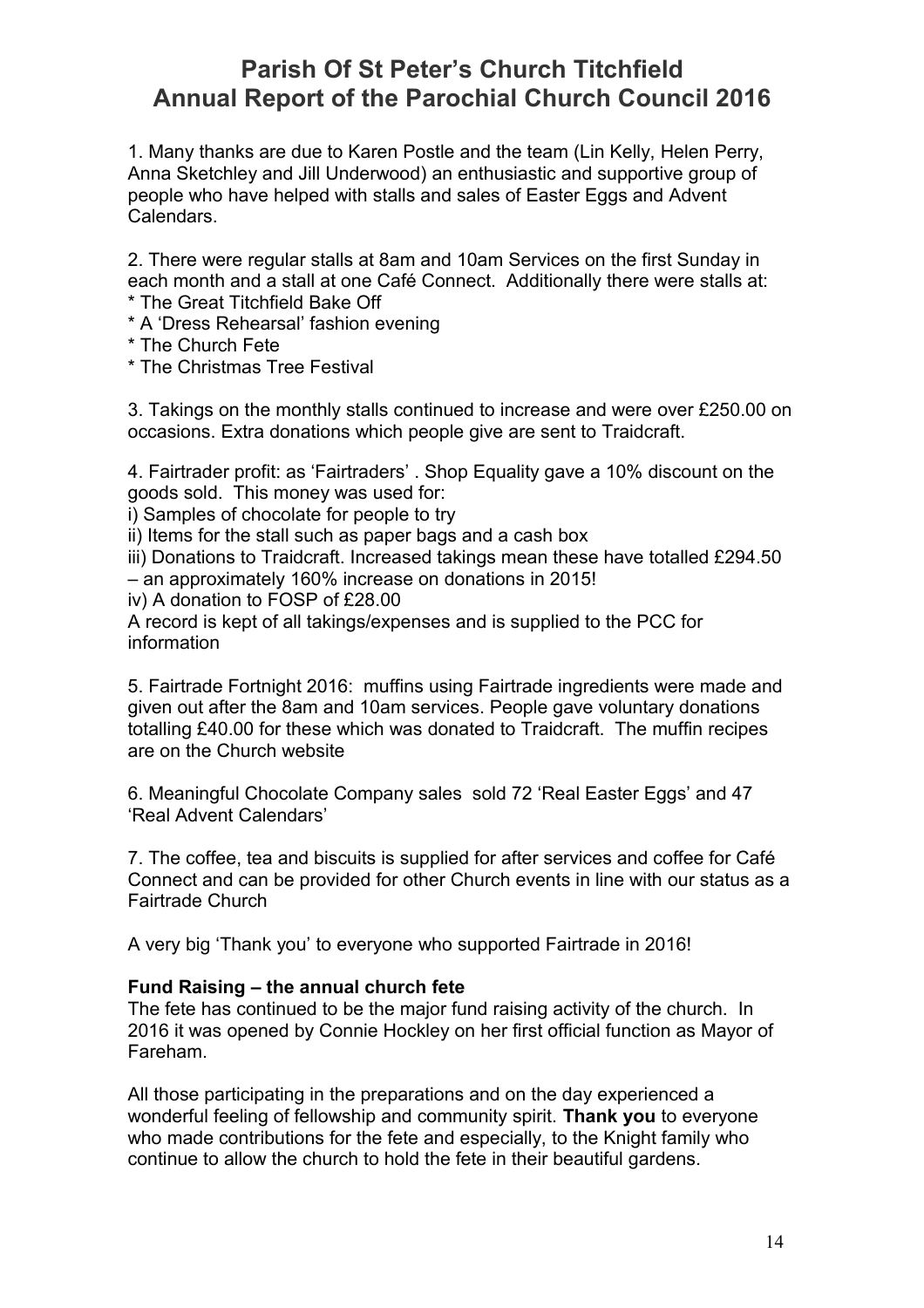1. Many thanks are due to Karen Postle and the team (Lin Kelly, Helen Perry, Anna Sketchley and Jill Underwood) an enthusiastic and supportive group of people who have helped with stalls and sales of Easter Eggs and Advent Calendars.

2. There were regular stalls at 8am and 10am Services on the first Sunday in each month and a stall at one Café Connect. Additionally there were stalls at: \* The Great Titchfield Bake Off

- \* A 'Dress Rehearsal' fashion evening
- \* The Church Fete
- \* The Christmas Tree Festival

3. Takings on the monthly stalls continued to increase and were over £250.00 on occasions. Extra donations which people give are sent to Traidcraft.

4. Fairtrader profit: as 'Fairtraders' . Shop Equality gave a 10% discount on the goods sold. This money was used for:

i) Samples of chocolate for people to try

ii) Items for the stall such as paper bags and a cash box

iii) Donations to Traidcraft. Increased takings mean these have totalled £294.50 – an approximately 160% increase on donations in 2015!

iv) A donation to FOSP of £28.00

A record is kept of all takings/expenses and is supplied to the PCC for information

5. Fairtrade Fortnight 2016: muffins using Fairtrade ingredients were made and given out after the 8am and 10am services. People gave voluntary donations totalling £40.00 for these which was donated to Traidcraft. The muffin recipes are on the Church website

6. Meaningful Chocolate Company sales sold 72 'Real Easter Eggs' and 47 'Real Advent Calendars'

7. The coffee, tea and biscuits is supplied for after services and coffee for Café Connect and can be provided for other Church events in line with our status as a Fairtrade Church

A very big 'Thank you' to everyone who supported Fairtrade in 2016!

### **Fund Raising – the annual church fete**

The fete has continued to be the major fund raising activity of the church. In 2016 it was opened by Connie Hockley on her first official function as Mayor of Fareham.

All those participating in the preparations and on the day experienced a wonderful feeling of fellowship and community spirit. **Thank you** to everyone who made contributions for the fete and especially, to the Knight family who continue to allow the church to hold the fete in their beautiful gardens.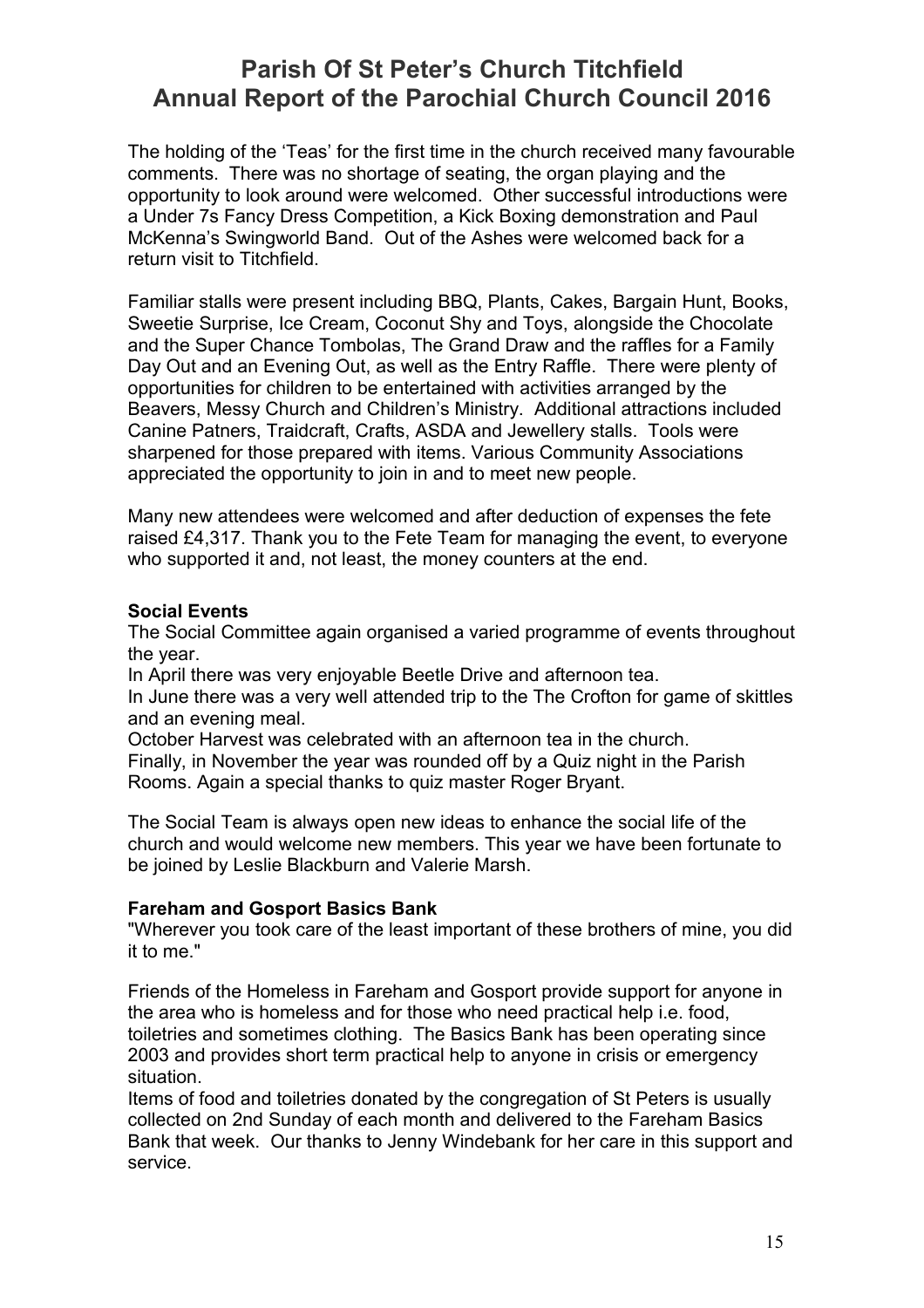The holding of the 'Teas' for the first time in the church received many favourable comments. There was no shortage of seating, the organ playing and the opportunity to look around were welcomed. Other successful introductions were a Under 7s Fancy Dress Competition, a Kick Boxing demonstration and Paul McKenna's Swingworld Band. Out of the Ashes were welcomed back for a return visit to Titchfield.

Familiar stalls were present including BBQ, Plants, Cakes, Bargain Hunt, Books, Sweetie Surprise, Ice Cream, Coconut Shy and Toys, alongside the Chocolate and the Super Chance Tombolas, The Grand Draw and the raffles for a Family Day Out and an Evening Out, as well as the Entry Raffle. There were plenty of opportunities for children to be entertained with activities arranged by the Beavers, Messy Church and Children's Ministry. Additional attractions included Canine Patners, Traidcraft, Crafts, ASDA and Jewellery stalls. Tools were sharpened for those prepared with items. Various Community Associations appreciated the opportunity to join in and to meet new people.

Many new attendees were welcomed and after deduction of expenses the fete raised £4,317. Thank you to the Fete Team for managing the event, to everyone who supported it and, not least, the money counters at the end.

### **Social Events**

The Social Committee again organised a varied programme of events throughout the year.

In April there was very enjoyable Beetle Drive and afternoon tea.

In June there was a very well attended trip to the The Crofton for game of skittles and an evening meal.

October Harvest was celebrated with an afternoon tea in the church.

Finally, in November the year was rounded off by a Quiz night in the Parish Rooms. Again a special thanks to quiz master Roger Bryant.

The Social Team is always open new ideas to enhance the social life of the church and would welcome new members. This year we have been fortunate to be joined by Leslie Blackburn and Valerie Marsh.

### **Fareham and Gosport Basics Bank**

"Wherever you took care of the least important of these brothers of mine, you did it to me."

Friends of the Homeless in Fareham and Gosport provide support for anyone in the area who is homeless and for those who need practical help i.e. food, toiletries and sometimes clothing. The Basics Bank has been operating since 2003 and provides short term practical help to anyone in crisis or emergency situation.

Items of food and toiletries donated by the congregation of St Peters is usually collected on 2nd Sunday of each month and delivered to the Fareham Basics Bank that week. Our thanks to Jenny Windebank for her care in this support and service.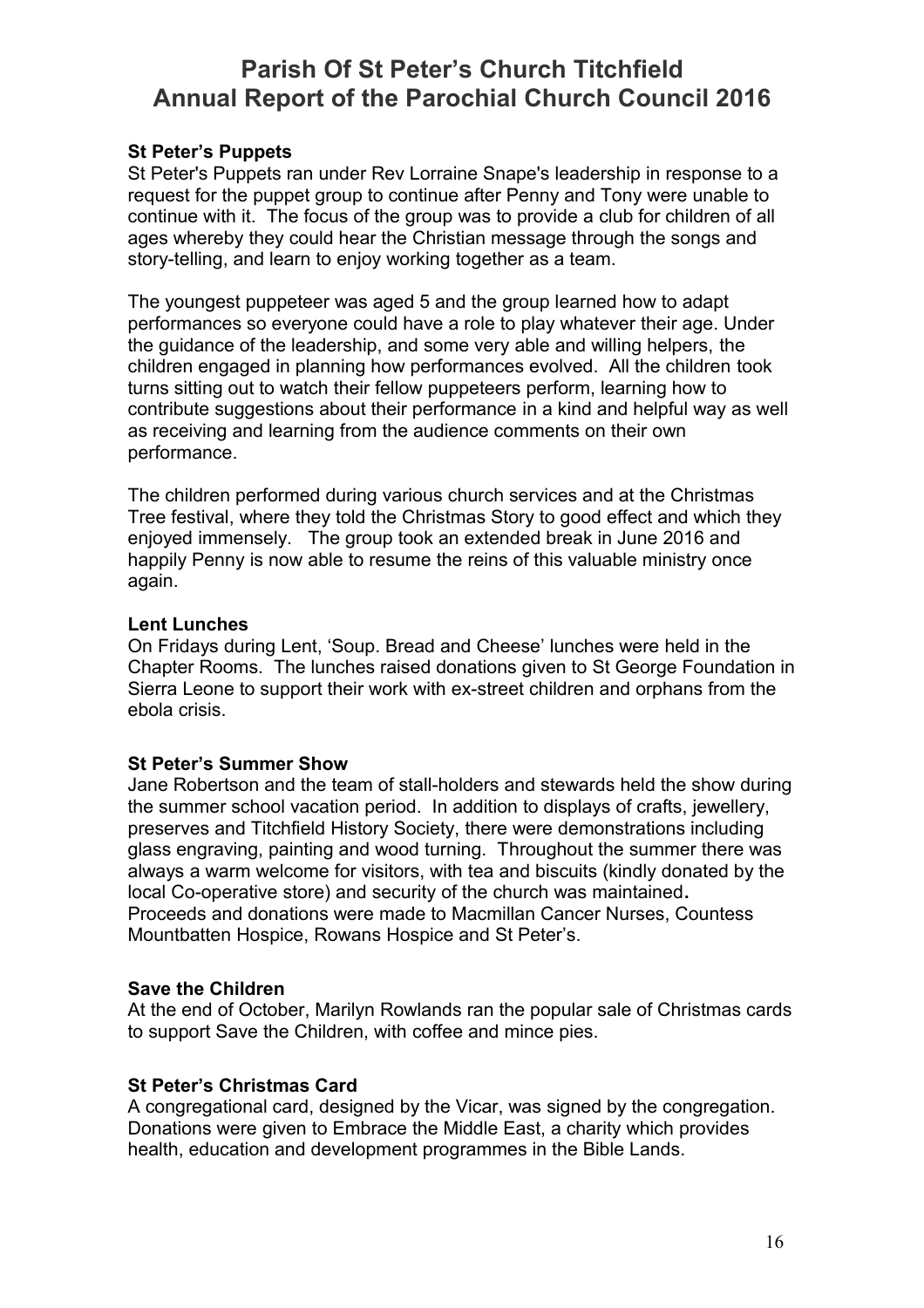### **St Peter's Puppets**

St Peter's Puppets ran under Rev Lorraine Snape's leadership in response to a request for the puppet group to continue after Penny and Tony were unable to continue with it. The focus of the group was to provide a club for children of all ages whereby they could hear the Christian message through the songs and story-telling, and learn to enjoy working together as a team.

The youngest puppeteer was aged 5 and the group learned how to adapt performances so everyone could have a role to play whatever their age. Under the guidance of the leadership, and some very able and willing helpers, the children engaged in planning how performances evolved. All the children took turns sitting out to watch their fellow puppeteers perform, learning how to contribute suggestions about their performance in a kind and helpful way as well as receiving and learning from the audience comments on their own performance.

The children performed during various church services and at the Christmas Tree festival, where they told the Christmas Story to good effect and which they enjoyed immensely. The group took an extended break in June 2016 and happily Penny is now able to resume the reins of this valuable ministry once again.

### **Lent Lunches**

On Fridays during Lent, 'Soup. Bread and Cheese' lunches were held in the Chapter Rooms. The lunches raised donations given to St George Foundation in Sierra Leone to support their work with ex-street children and orphans from the ebola crisis.

### **St Peter's Summer Show**

Jane Robertson and the team of stall-holders and stewards held the show during the summer school vacation period. In addition to displays of crafts, jewellery, preserves and Titchfield History Society, there were demonstrations including glass engraving, painting and wood turning. Throughout the summer there was always a warm welcome for visitors, with tea and biscuits (kindly donated by the local Co-operative store) and security of the church was maintained**.**  Proceeds and donations were made to Macmillan Cancer Nurses, Countess Mountbatten Hospice, Rowans Hospice and St Peter's.

### **Save the Children**

At the end of October, Marilyn Rowlands ran the popular sale of Christmas cards to support Save the Children, with coffee and mince pies.

### **St Peter's Christmas Card**

A congregational card, designed by the Vicar, was signed by the congregation. Donations were given to Embrace the Middle East, a charity which provides health, education and development programmes in the Bible Lands.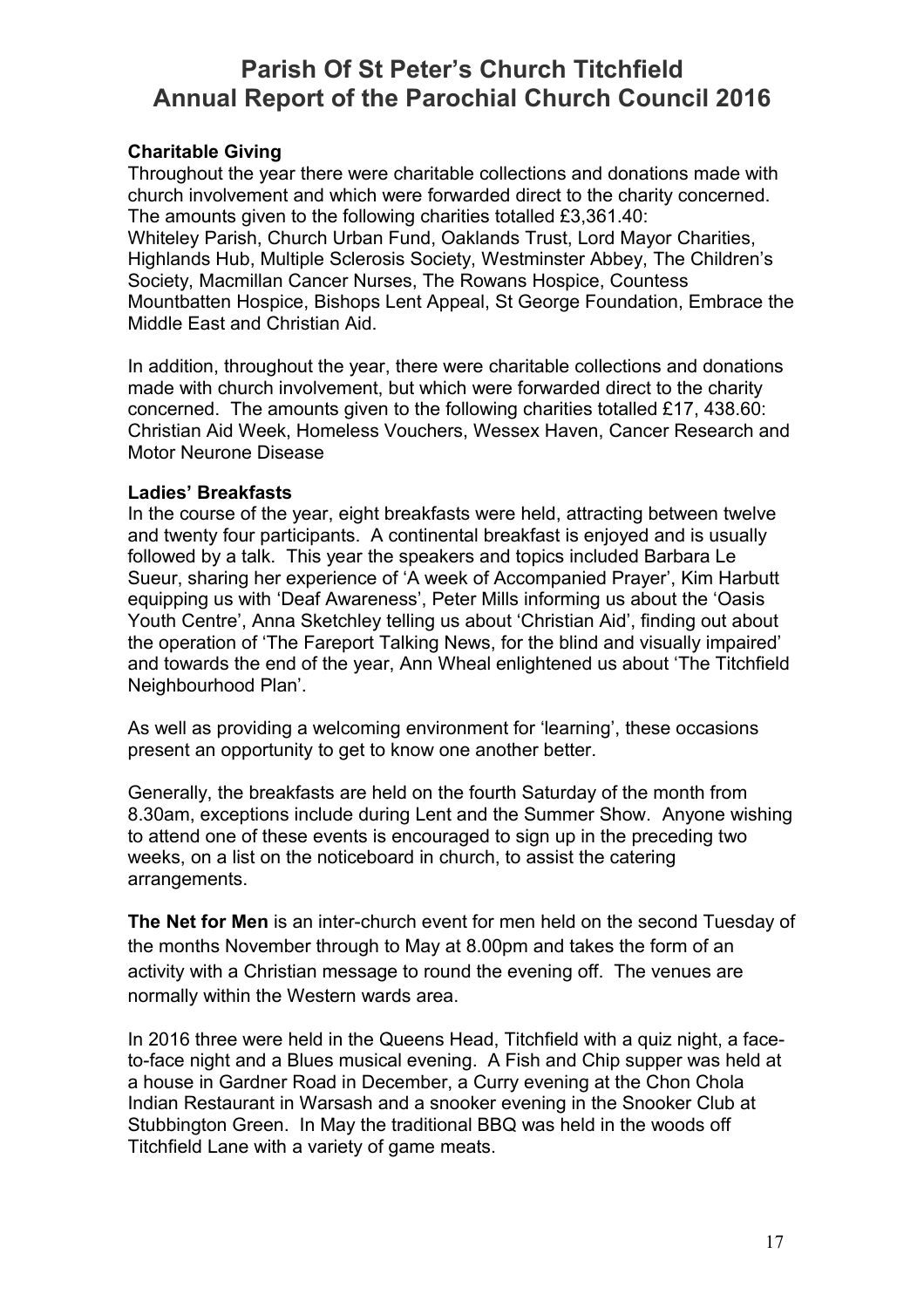### **Charitable Giving**

Throughout the year there were charitable collections and donations made with church involvement and which were forwarded direct to the charity concerned. The amounts given to the following charities totalled £3,361.40: Whiteley Parish, Church Urban Fund, Oaklands Trust, Lord Mayor Charities, Highlands Hub, Multiple Sclerosis Society, Westminster Abbey, The Children's Society, Macmillan Cancer Nurses, The Rowans Hospice, Countess Mountbatten Hospice, Bishops Lent Appeal, St George Foundation, Embrace the Middle East and Christian Aid.

In addition, throughout the year, there were charitable collections and donations made with church involvement, but which were forwarded direct to the charity concerned. The amounts given to the following charities totalled £17, 438.60: Christian Aid Week, Homeless Vouchers, Wessex Haven, Cancer Research and Motor Neurone Disease

### **Ladies' Breakfasts**

In the course of the year, eight breakfasts were held, attracting between twelve and twenty four participants. A continental breakfast is enjoyed and is usually followed by a talk. This year the speakers and topics included Barbara Le Sueur, sharing her experience of 'A week of Accompanied Prayer', Kim Harbutt equipping us with 'Deaf Awareness', Peter Mills informing us about the 'Oasis Youth Centre', Anna Sketchley telling us about 'Christian Aid', finding out about the operation of 'The Fareport Talking News, for the blind and visually impaired' and towards the end of the year, Ann Wheal enlightened us about 'The Titchfield Neighbourhood Plan'.

As well as providing a welcoming environment for 'learning', these occasions present an opportunity to get to know one another better.

Generally, the breakfasts are held on the fourth Saturday of the month from 8.30am, exceptions include during Lent and the Summer Show. Anyone wishing to attend one of these events is encouraged to sign up in the preceding two weeks, on a list on the noticeboard in church, to assist the catering arrangements.

**The Net for Men** is an inter-church event for men held on the second Tuesday of the months November through to May at 8.00pm and takes the form of an activity with a Christian message to round the evening off. The venues are normally within the Western wards area.

In 2016 three were held in the Queens Head, Titchfield with a quiz night, a faceto-face night and a Blues musical evening. A Fish and Chip supper was held at a house in Gardner Road in December, a Curry evening at the Chon Chola Indian Restaurant in Warsash and a snooker evening in the Snooker Club at Stubbington Green. In May the traditional BBQ was held in the woods off Titchfield Lane with a variety of game meats.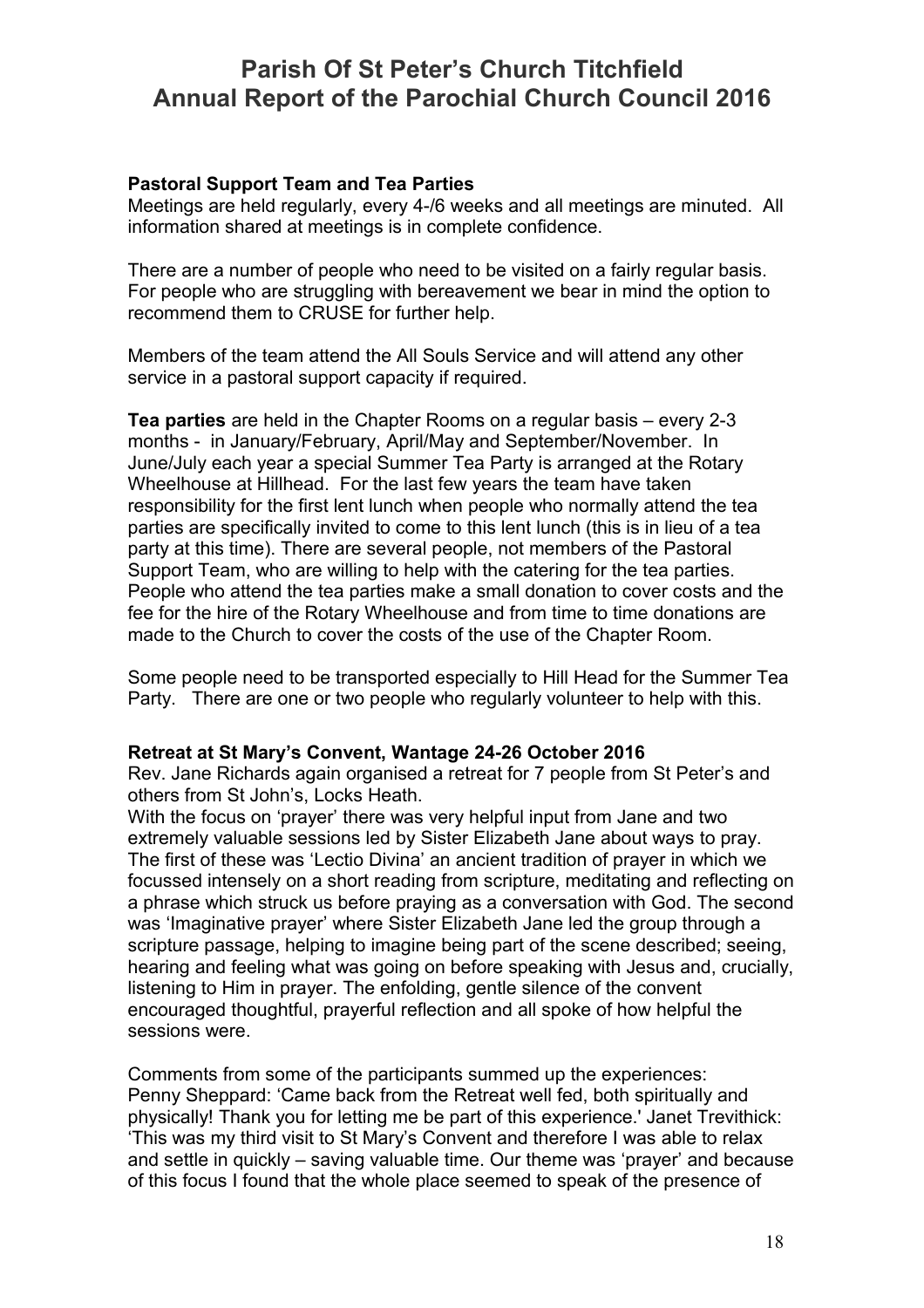### **Pastoral Support Team and Tea Parties**

Meetings are held regularly, every 4-/6 weeks and all meetings are minuted. All information shared at meetings is in complete confidence.

There are a number of people who need to be visited on a fairly regular basis. For people who are struggling with bereavement we bear in mind the option to recommend them to CRUSE for further help.

Members of the team attend the All Souls Service and will attend any other service in a pastoral support capacity if required.

**Tea parties** are held in the Chapter Rooms on a regular basis – every 2-3 months - in January/February, April/May and September/November. In June/July each year a special Summer Tea Party is arranged at the Rotary Wheelhouse at Hillhead. For the last few years the team have taken responsibility for the first lent lunch when people who normally attend the tea parties are specifically invited to come to this lent lunch (this is in lieu of a tea party at this time). There are several people, not members of the Pastoral Support Team, who are willing to help with the catering for the tea parties. People who attend the tea parties make a small donation to cover costs and the fee for the hire of the Rotary Wheelhouse and from time to time donations are made to the Church to cover the costs of the use of the Chapter Room.

Some people need to be transported especially to Hill Head for the Summer Tea Party. There are one or two people who regularly volunteer to help with this.

### **Retreat at St Mary's Convent, Wantage 24-26 October 2016**

Rev. Jane Richards again organised a retreat for 7 people from St Peter's and others from St John's, Locks Heath.

With the focus on 'prayer' there was very helpful input from Jane and two extremely valuable sessions led by Sister Elizabeth Jane about ways to pray. The first of these was 'Lectio Divina' an ancient tradition of prayer in which we focussed intensely on a short reading from scripture, meditating and reflecting on a phrase which struck us before praying as a conversation with God. The second was 'Imaginative prayer' where Sister Elizabeth Jane led the group through a scripture passage, helping to imagine being part of the scene described; seeing, hearing and feeling what was going on before speaking with Jesus and, crucially, listening to Him in prayer. The enfolding, gentle silence of the convent encouraged thoughtful, prayerful reflection and all spoke of how helpful the sessions were.

Comments from some of the participants summed up the experiences: Penny Sheppard: 'Came back from the Retreat well fed, both spiritually and physically! Thank you for letting me be part of this experience.' Janet Trevithick: 'This was my third visit to St Mary's Convent and therefore I was able to relax and settle in quickly – saving valuable time. Our theme was 'prayer' and because of this focus I found that the whole place seemed to speak of the presence of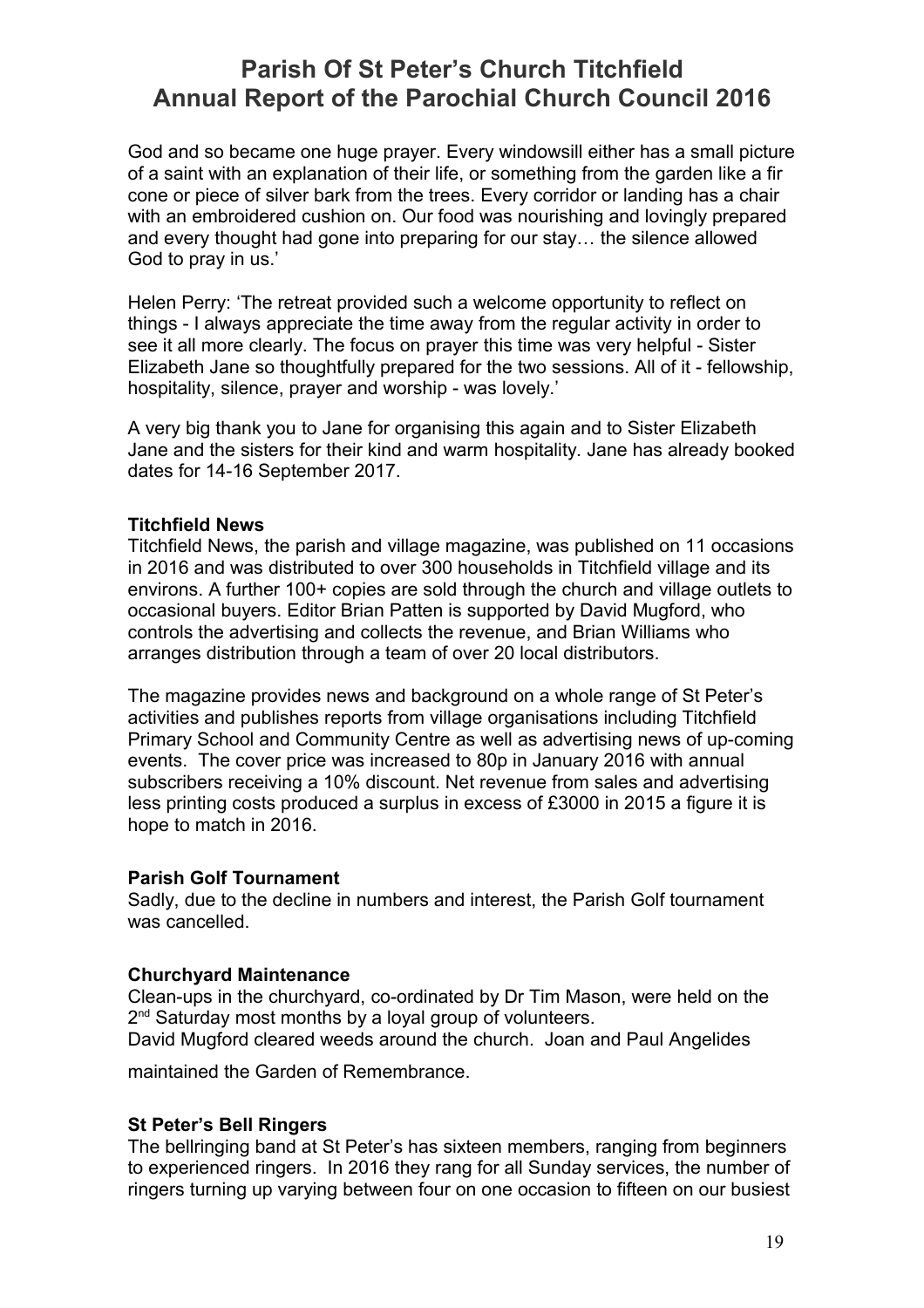God and so became one huge prayer. Every windowsill either has a small picture of a saint with an explanation of their life, or something from the garden like a fir cone or piece of silver bark from the trees. Every corridor or landing has a chair with an embroidered cushion on. Our food was nourishing and lovingly prepared and every thought had gone into preparing for our stay… the silence allowed God to pray in us.'

Helen Perry: 'The retreat provided such a welcome opportunity to reflect on things - I always appreciate the time away from the regular activity in order to see it all more clearly. The focus on prayer this time was very helpful - Sister Elizabeth Jane so thoughtfully prepared for the two sessions. All of it - fellowship, hospitality, silence, prayer and worship - was lovely.'

A very big thank you to Jane for organising this again and to Sister Elizabeth Jane and the sisters for their kind and warm hospitality. Jane has already booked dates for 14-16 September 2017.

### **Titchfield News**

Titchfield News, the parish and village magazine, was published on 11 occasions in 2016 and was distributed to over 300 households in Titchfield village and its environs. A further 100+ copies are sold through the church and village outlets to occasional buyers. Editor Brian Patten is supported by David Mugford, who controls the advertising and collects the revenue, and Brian Williams who arranges distribution through a team of over 20 local distributors.

The magazine provides news and background on a whole range of St Peter's activities and publishes reports from village organisations including Titchfield Primary School and Community Centre as well as advertising news of up-coming events. The cover price was increased to 80p in January 2016 with annual subscribers receiving a 10% discount. Net revenue from sales and advertising less printing costs produced a surplus in excess of £3000 in 2015 a figure it is hope to match in 2016.

### **Parish Golf Tournament**

Sadly, due to the decline in numbers and interest, the Parish Golf tournament was cancelled.

### **Churchyard Maintenance**

Clean-ups in the churchyard, co-ordinated by Dr Tim Mason, were held on the 2<sup>nd</sup> Saturday most months by a loyal group of volunteers. David Mugford cleared weeds around the church. Joan and Paul Angelides

maintained the Garden of Remembrance.

### **St Peter's Bell Ringers**

The bellringing band at St Peter's has sixteen members, ranging from beginners to experienced ringers. In 2016 they rang for all Sunday services, the number of ringers turning up varying between four on one occasion to fifteen on our busiest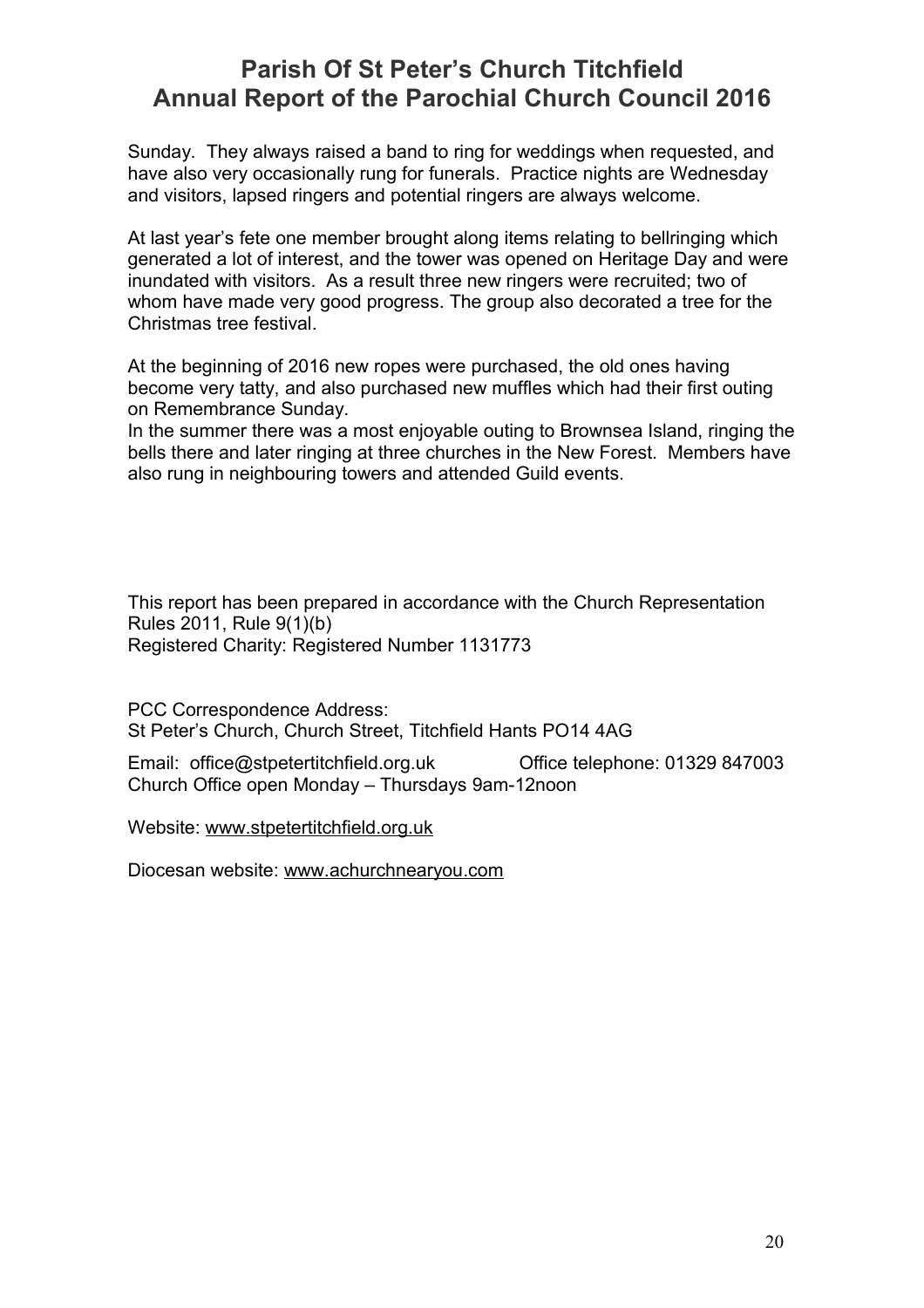Sunday. They always raised a band to ring for weddings when requested, and have also very occasionally rung for funerals. Practice nights are Wednesday and visitors, lapsed ringers and potential ringers are always welcome.

At last year's fete one member brought along items relating to bellringing which generated a lot of interest, and the tower was opened on Heritage Day and were inundated with visitors. As a result three new ringers were recruited; two of whom have made very good progress. The group also decorated a tree for the Christmas tree festival.

At the beginning of 2016 new ropes were purchased, the old ones having become very tatty, and also purchased new muffles which had their first outing on Remembrance Sunday.

In the summer there was a most enjoyable outing to Brownsea Island, ringing the bells there and later ringing at three churches in the New Forest. Members have also rung in neighbouring towers and attended Guild events.

This report has been prepared in accordance with the Church Representation Rules 2011, Rule 9(1)(b) Registered Charity: Registered Number 1131773

PCC Correspondence Address: St Peter's Church, Church Street, Titchfield Hants PO14 4AG

Email: office@stpetertitchfield.org.uk Office telephone: 01329 847003 Church Office open Monday – Thursdays 9am-12noon

Website: [www.stpetertitchfield.org.uk](http://www.stpetertitchfield.org.uk/)

Diocesan website: [www.achurchnearyou.com](http://www.achurchnearyou.com/)